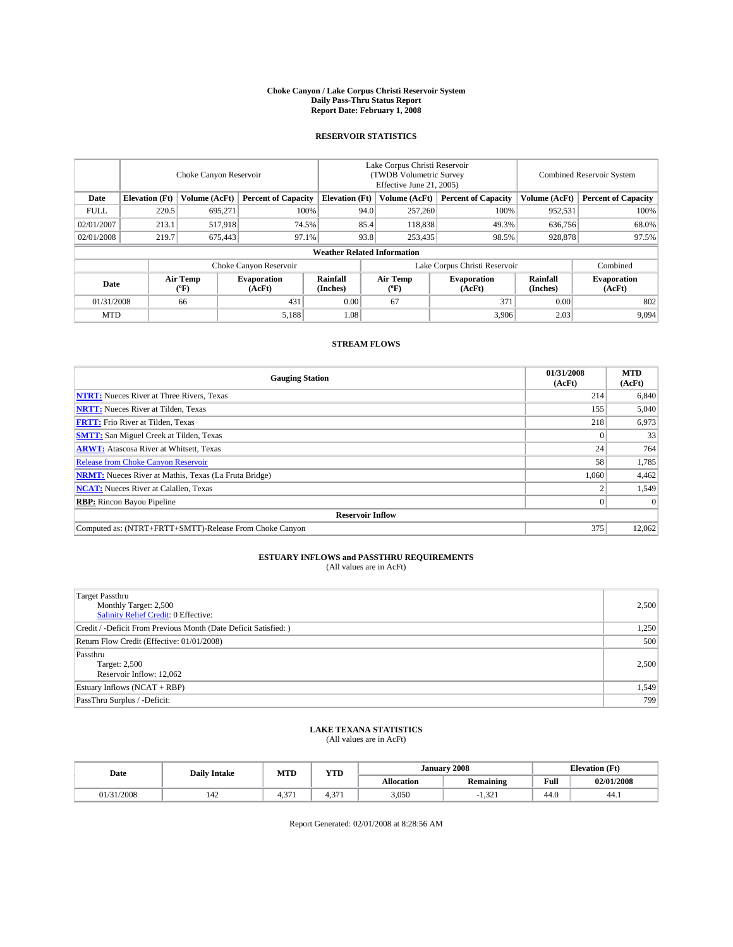#### **Choke Canyon / Lake Corpus Christi Reservoir System Daily Pass-Thru Status Report Report Date: February 1, 2008**

### **RESERVOIR STATISTICS**

|             | Choke Canyon Reservoir             |                  |                              |                       | Lake Corpus Christi Reservoir<br>(TWDB Volumetric Survey<br>Effective June 21, 2005) |                  |                              |                      | <b>Combined Reservoir System</b> |  |  |
|-------------|------------------------------------|------------------|------------------------------|-----------------------|--------------------------------------------------------------------------------------|------------------|------------------------------|----------------------|----------------------------------|--|--|
| Date        | <b>Elevation</b> (Ft)              | Volume (AcFt)    | <b>Percent of Capacity</b>   | <b>Elevation</b> (Ft) |                                                                                      | Volume (AcFt)    | <b>Percent of Capacity</b>   | Volume (AcFt)        | <b>Percent of Capacity</b>       |  |  |
| <b>FULL</b> | 220.5                              | 695.271          |                              | 100%                  | 94.0                                                                                 | 257,260          | 100%                         | 952,531              | 100%                             |  |  |
| 02/01/2007  | 213.1                              | 517.918          |                              | 74.5%                 | 85.4                                                                                 | 118,838          | 49.3%                        | 636,756              | 68.0%                            |  |  |
| 02/01/2008  | 219.7                              | 675,443          |                              | 97.1%                 | 93.8                                                                                 | 253,435          | 98.5%                        | 928,878              | 97.5%                            |  |  |
|             | <b>Weather Related Information</b> |                  |                              |                       |                                                                                      |                  |                              |                      |                                  |  |  |
|             |                                    |                  | Choke Canyon Reservoir       |                       | Lake Corpus Christi Reservoir                                                        |                  |                              |                      | Combined                         |  |  |
| Date        |                                    | Air Temp<br>(°F) | <b>Evaporation</b><br>(AcFt) | Rainfall<br>(Inches)  |                                                                                      | Air Temp<br>("F) | <b>Evaporation</b><br>(AcFt) | Rainfall<br>(Inches) | <b>Evaporation</b><br>(AcFt)     |  |  |
| 01/31/2008  |                                    | 66               | 431                          | 0.00                  |                                                                                      | 67               | 371                          | 0.00                 | 802                              |  |  |
| <b>MTD</b>  |                                    |                  | 5,188                        | 1.08                  |                                                                                      |                  | 3,906                        | 2.03                 | 9,094                            |  |  |

### **STREAM FLOWS**

| <b>Gauging Station</b>                                       | 01/31/2008<br>(AcFt) | <b>MTD</b><br>(AcFt) |
|--------------------------------------------------------------|----------------------|----------------------|
| <b>NTRT:</b> Nueces River at Three Rivers, Texas             | 214                  | 6,840                |
| <b>NRTT:</b> Nueces River at Tilden, Texas                   | 155                  | 5,040                |
| <b>FRTT:</b> Frio River at Tilden, Texas                     | 218                  | 6,973                |
| <b>SMTT:</b> San Miguel Creek at Tilden, Texas               |                      | 33                   |
| <b>ARWT:</b> Atascosa River at Whitsett, Texas               | 24                   | 764                  |
| <b>Release from Choke Canyon Reservoir</b>                   | 58                   | 1,785                |
| <b>NRMT:</b> Nueces River at Mathis, Texas (La Fruta Bridge) | 1,060                | 4,462                |
| <b>NCAT:</b> Nueces River at Calallen, Texas                 |                      | 1,549                |
| <b>RBP:</b> Rincon Bayou Pipeline                            |                      | $\Omega$             |
| <b>Reservoir Inflow</b>                                      |                      |                      |
| Computed as: (NTRT+FRTT+SMTT)-Release From Choke Canyon      | 375                  | 12,062               |

# **ESTUARY INFLOWS and PASSTHRU REQUIREMENTS**<br>(All values are in AcFt)

| <b>Target Passthru</b><br>Monthly Target: 2,500<br>Salinity Relief Credit: 0 Effective: | 2,500 |
|-----------------------------------------------------------------------------------------|-------|
| Credit / -Deficit From Previous Month (Date Deficit Satisfied: )                        | 1,250 |
| Return Flow Credit (Effective: 01/01/2008)                                              | 500   |
| Passthru<br>Target: 2,500<br>Reservoir Inflow: 12,062                                   | 2.500 |
| Estuary Inflows (NCAT + RBP)                                                            | 1,549 |
| PassThru Surplus / -Deficit:                                                            | 799   |

# **LAKE TEXANA STATISTICS** (All values are in AcFt)

| Date     | <b>Daily Intake</b> | <b>MTD</b>         | $\mathbf{v}$<br>1 I D | January           | 12008            | <b>Elevation</b> (Ft) |            |
|----------|---------------------|--------------------|-----------------------|-------------------|------------------|-----------------------|------------|
|          |                     |                    |                       | <b>Allocation</b> | <b>Remaining</b> | Full                  | 02/01/2008 |
| /31/2008 | 144                 | $\sim$<br>ட<br>т., | $\sim$<br>            | 3,050             | 1.321            | 44.0                  | 44.1       |

Report Generated: 02/01/2008 at 8:28:56 AM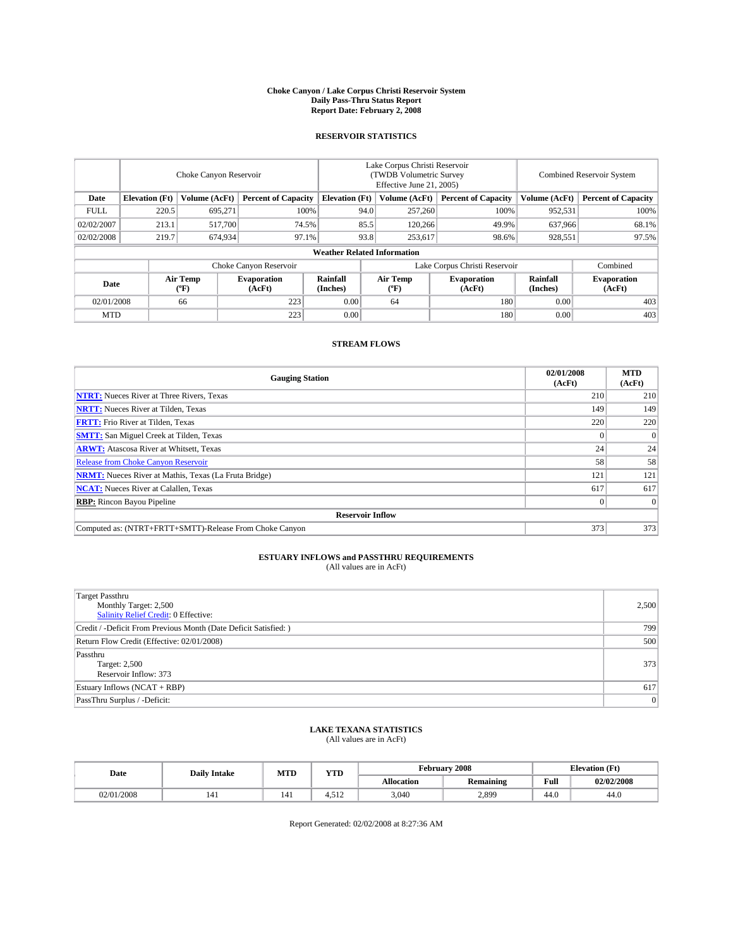#### **Choke Canyon / Lake Corpus Christi Reservoir System Daily Pass-Thru Status Report Report Date: February 2, 2008**

### **RESERVOIR STATISTICS**

|             | Choke Canyon Reservoir             |                  |                              |                       | Lake Corpus Christi Reservoir<br>(TWDB Volumetric Survey<br>Effective June 21, 2005) |                  |                              |                      | <b>Combined Reservoir System</b> |  |  |
|-------------|------------------------------------|------------------|------------------------------|-----------------------|--------------------------------------------------------------------------------------|------------------|------------------------------|----------------------|----------------------------------|--|--|
| Date        | <b>Elevation</b> (Ft)              | Volume (AcFt)    | <b>Percent of Capacity</b>   | <b>Elevation</b> (Ft) |                                                                                      | Volume (AcFt)    | <b>Percent of Capacity</b>   | Volume (AcFt)        | <b>Percent of Capacity</b>       |  |  |
| <b>FULL</b> | 220.5                              | 695.271          |                              | 100%                  | 94.0                                                                                 | 257,260          | 100%                         | 952,531              | 100%                             |  |  |
| 02/02/2007  | 213.1                              | 517,700          |                              | 74.5%                 | 85.5                                                                                 | 120,266          | 49.9%                        | 637.966              | 68.1%                            |  |  |
| 02/02/2008  | 219.7                              | 674,934          | 97.1%                        |                       | 93.8                                                                                 | 253,617          | 98.6%                        | 928,551              | 97.5%                            |  |  |
|             | <b>Weather Related Information</b> |                  |                              |                       |                                                                                      |                  |                              |                      |                                  |  |  |
|             |                                    |                  | Choke Canyon Reservoir       |                       | Lake Corpus Christi Reservoir                                                        |                  |                              |                      | Combined                         |  |  |
| Date        |                                    | Air Temp<br>(°F) | <b>Evaporation</b><br>(AcFt) | Rainfall<br>(Inches)  |                                                                                      | Air Temp<br>("F) | <b>Evaporation</b><br>(AcFt) | Rainfall<br>(Inches) | <b>Evaporation</b><br>(AcFt)     |  |  |
| 02/01/2008  |                                    | 66               | 223                          | 0.00                  |                                                                                      | 64               | 180                          | 0.00                 | 403                              |  |  |
| <b>MTD</b>  |                                    |                  | 223                          | 0.00                  |                                                                                      |                  | 180                          | 0.00                 | 403                              |  |  |

### **STREAM FLOWS**

| <b>Gauging Station</b>                                       | 02/01/2008<br>(AcFt) | <b>MTD</b><br>(AcFt) |  |  |  |  |  |
|--------------------------------------------------------------|----------------------|----------------------|--|--|--|--|--|
| <b>NTRT:</b> Nueces River at Three Rivers, Texas             | 210                  | 210                  |  |  |  |  |  |
| <b>NRTT:</b> Nueces River at Tilden, Texas                   | 149                  | 149                  |  |  |  |  |  |
| <b>FRTT:</b> Frio River at Tilden, Texas                     | 220                  | 220                  |  |  |  |  |  |
| <b>SMTT:</b> San Miguel Creek at Tilden, Texas               |                      | $\overline{0}$       |  |  |  |  |  |
| <b>ARWT:</b> Atascosa River at Whitsett, Texas               | 24                   | 24                   |  |  |  |  |  |
| <b>Release from Choke Canyon Reservoir</b>                   | 58                   | 58                   |  |  |  |  |  |
| <b>NRMT:</b> Nueces River at Mathis, Texas (La Fruta Bridge) | 121                  | 121                  |  |  |  |  |  |
| <b>NCAT:</b> Nueces River at Calallen, Texas                 | 617                  | 617                  |  |  |  |  |  |
| <b>RBP:</b> Rincon Bayou Pipeline                            |                      | $\Omega$             |  |  |  |  |  |
| <b>Reservoir Inflow</b>                                      |                      |                      |  |  |  |  |  |
| Computed as: (NTRT+FRTT+SMTT)-Release From Choke Canyon      | 373                  | 373                  |  |  |  |  |  |

## **ESTUARY INFLOWS and PASSTHRU REQUIREMENTS**<br>(All values are in AcFt)

| Target Passthru<br>Monthly Target: 2,500<br><b>Salinity Relief Credit: 0 Effective:</b> | 2,500          |
|-----------------------------------------------------------------------------------------|----------------|
| Credit / -Deficit From Previous Month (Date Deficit Satisfied: )                        | 799            |
| Return Flow Credit (Effective: 02/01/2008)                                              | 500            |
| Passthru<br>Target: 2,500<br>Reservoir Inflow: 373                                      | 373            |
| Estuary Inflows (NCAT + RBP)                                                            | 617            |
| PassThru Surplus / -Deficit:                                                            | $\overline{0}$ |

## **LAKE TEXANA STATISTICS** (All values are in AcFt)

| Date       | <b>Daily Intake</b> | <b>MTD</b> | <b>YTD</b>                  |                   | February 2008    | <b>Elevation</b> (Ft) |            |
|------------|---------------------|------------|-----------------------------|-------------------|------------------|-----------------------|------------|
|            |                     |            |                             | <b>Allocation</b> | <b>Remaining</b> | Full                  | 02/02/2008 |
| 02/01/2008 |                     | 141        | .51 <sup>2</sup><br>1.J I 4 | 3.040             | 2,899            | 44.0                  | 44.0       |

Report Generated: 02/02/2008 at 8:27:36 AM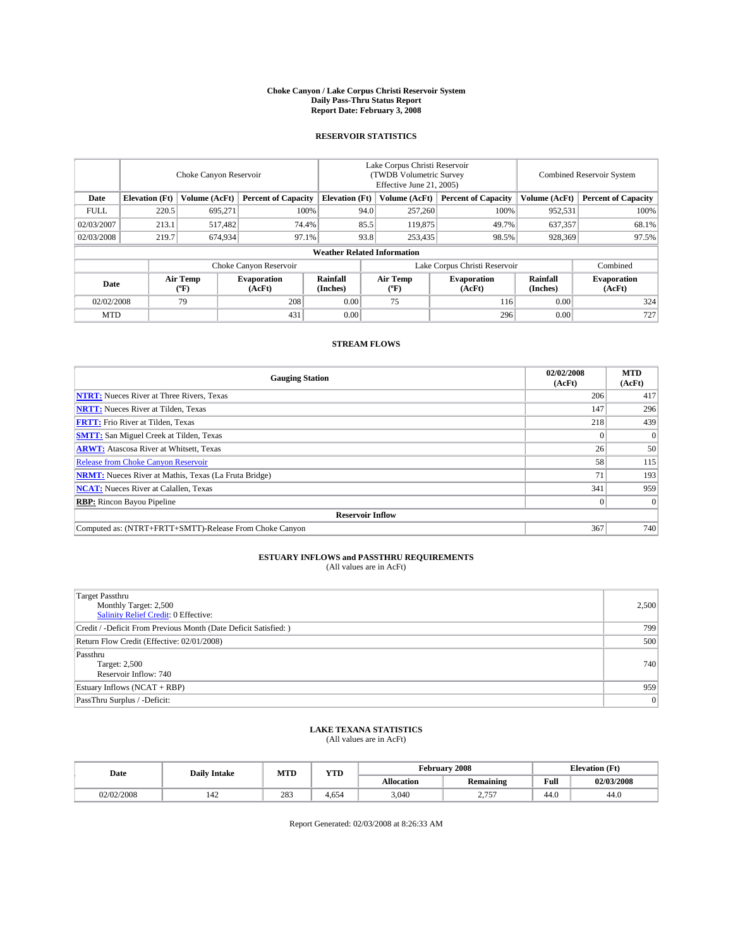#### **Choke Canyon / Lake Corpus Christi Reservoir System Daily Pass-Thru Status Report Report Date: February 3, 2008**

### **RESERVOIR STATISTICS**

|             | Choke Canyon Reservoir             |                  |                              |                       | Lake Corpus Christi Reservoir<br>(TWDB Volumetric Survey<br>Effective June 21, 2005) |                                           |                               |                      | <b>Combined Reservoir System</b> |  |  |
|-------------|------------------------------------|------------------|------------------------------|-----------------------|--------------------------------------------------------------------------------------|-------------------------------------------|-------------------------------|----------------------|----------------------------------|--|--|
| Date        | <b>Elevation</b> (Ft)              | Volume (AcFt)    | <b>Percent of Capacity</b>   | <b>Elevation</b> (Ft) |                                                                                      | Volume (AcFt)                             | <b>Percent of Capacity</b>    | Volume (AcFt)        | <b>Percent of Capacity</b>       |  |  |
| <b>FULL</b> | 220.5                              | 695,271          | 100%                         |                       | 94.0                                                                                 | 257,260                                   | 100%                          | 952,531              | 100%                             |  |  |
| 02/03/2007  | 213.1                              | 517.482          | 74.4%                        |                       | 85.5                                                                                 | 119,875                                   | 49.7%                         | 637,357              | 68.1%                            |  |  |
| 02/03/2008  | 219.7                              | 674,934          | 97.1%                        |                       | 93.8                                                                                 | 253,435                                   | 98.5%                         | 928,369              | 97.5%                            |  |  |
|             | <b>Weather Related Information</b> |                  |                              |                       |                                                                                      |                                           |                               |                      |                                  |  |  |
|             |                                    |                  | Choke Canyon Reservoir       |                       |                                                                                      |                                           | Lake Corpus Christi Reservoir |                      | Combined                         |  |  |
| Date        |                                    | Air Temp<br>(°F) | <b>Evaporation</b><br>(AcFt) | Rainfall<br>(Inches)  |                                                                                      | Air Temp<br>$({}^{\mathrm{o}}\mathrm{F})$ | <b>Evaporation</b><br>(AcFt)  | Rainfall<br>(Inches) | <b>Evaporation</b><br>(AcFt)     |  |  |
| 02/02/2008  |                                    | 79               | 208                          | 0.00                  |                                                                                      | 75                                        | 116                           | 0.00                 | 324                              |  |  |
| <b>MTD</b>  |                                    |                  | 431                          | 0.00                  |                                                                                      |                                           | 296                           | 0.00                 | 727                              |  |  |

### **STREAM FLOWS**

| <b>Gauging Station</b>                                       | 02/02/2008<br>(AcFt) | <b>MTD</b><br>(AcFt) |
|--------------------------------------------------------------|----------------------|----------------------|
| <b>NTRT:</b> Nueces River at Three Rivers, Texas             | 206                  | 417                  |
| <b>NRTT:</b> Nueces River at Tilden, Texas                   | 147                  | 296                  |
| <b>FRTT:</b> Frio River at Tilden, Texas                     | 218                  | 439                  |
| <b>SMTT:</b> San Miguel Creek at Tilden, Texas               |                      | $\overline{0}$       |
| <b>ARWT:</b> Atascosa River at Whitsett, Texas               | 26                   | 50                   |
| <b>Release from Choke Canyon Reservoir</b>                   | 58                   | 115                  |
| <b>NRMT:</b> Nueces River at Mathis, Texas (La Fruta Bridge) | 71                   | 193                  |
| <b>NCAT:</b> Nueces River at Calallen, Texas                 | 341                  | 959                  |
| <b>RBP:</b> Rincon Bayou Pipeline                            |                      | $\overline{0}$       |
| <b>Reservoir Inflow</b>                                      |                      |                      |
| Computed as: (NTRT+FRTT+SMTT)-Release From Choke Canyon      | 367                  | 740                  |

# **ESTUARY INFLOWS and PASSTHRU REQUIREMENTS**<br>(All values are in AcFt)

| Target Passthru<br>Monthly Target: 2,500<br><b>Salinity Relief Credit: 0 Effective:</b> | 2,500          |
|-----------------------------------------------------------------------------------------|----------------|
| Credit / -Deficit From Previous Month (Date Deficit Satisfied: )                        | 799            |
| Return Flow Credit (Effective: 02/01/2008)                                              | 500            |
| Passthru<br>Target: 2,500<br>Reservoir Inflow: 740                                      | 740            |
| Estuary Inflows (NCAT + RBP)                                                            | 959            |
| PassThru Surplus / -Deficit:                                                            | $\overline{0}$ |

## **LAKE TEXANA STATISTICS** (All values are in AcFt)

| Date       | <b>Daily Intake</b> | <b>MTD</b> | <b>YTD</b> |                   | February 2008    | <b>Elevation</b> (Ft) |            |  |
|------------|---------------------|------------|------------|-------------------|------------------|-----------------------|------------|--|
|            |                     |            |            | <b>Allocation</b> | <b>Remaining</b> | Full                  | 02/03/2008 |  |
| 02/02/2008 | 14L                 | 283        | 4.654      | 3.040             | 275<br>، ب ريب   | 44.0                  | 44.0       |  |

Report Generated: 02/03/2008 at 8:26:33 AM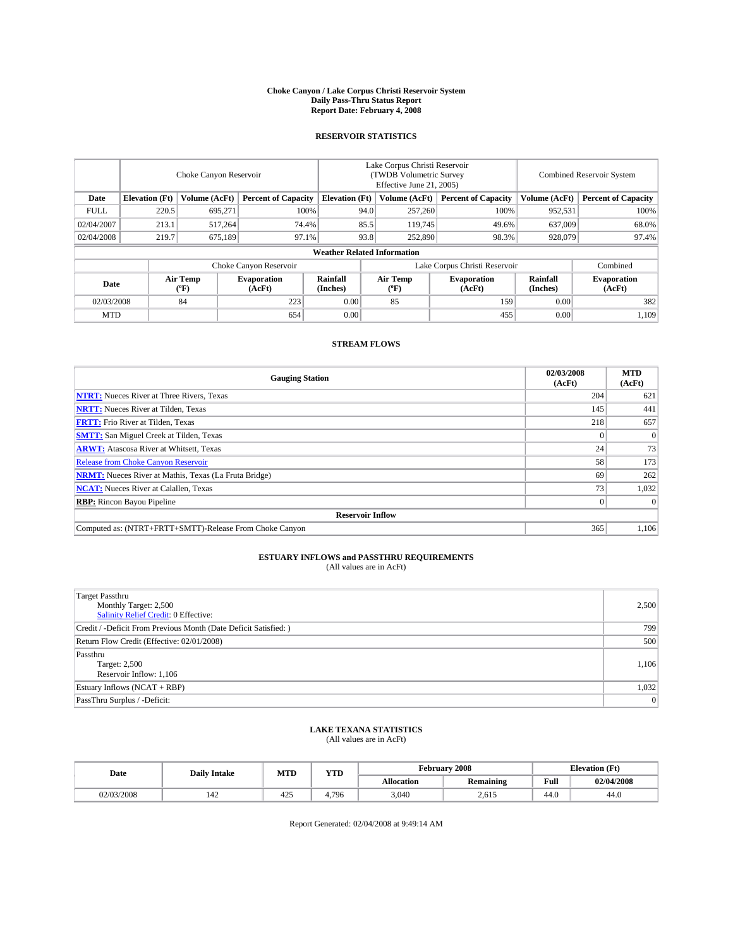#### **Choke Canyon / Lake Corpus Christi Reservoir System Daily Pass-Thru Status Report Report Date: February 4, 2008**

### **RESERVOIR STATISTICS**

|                        | Choke Canyon Reservoir             |                  |                              |                       | Lake Corpus Christi Reservoir<br>(TWDB Volumetric Survey<br>Effective June 21, 2005) |                                           |                              |                      | <b>Combined Reservoir System</b> |  |  |
|------------------------|------------------------------------|------------------|------------------------------|-----------------------|--------------------------------------------------------------------------------------|-------------------------------------------|------------------------------|----------------------|----------------------------------|--|--|
| Date                   | <b>Elevation</b> (Ft)              | Volume (AcFt)    | <b>Percent of Capacity</b>   | <b>Elevation</b> (Ft) |                                                                                      | Volume (AcFt)                             | <b>Percent of Capacity</b>   | Volume (AcFt)        | <b>Percent of Capacity</b>       |  |  |
| <b>FULL</b>            | 220.5                              | 695,271          | 100%                         |                       | 94.0                                                                                 | 257,260                                   | 100%                         | 952,531              | 100%                             |  |  |
| 02/04/2007             | 213.1                              | 517,264          | 74.4%                        |                       | 85.5                                                                                 | 119,745                                   | 49.6%                        | 637,009              | 68.0%                            |  |  |
| 02/04/2008             | 219.7                              | 675.189          | 97.1%                        |                       | 93.8                                                                                 | 252,890                                   | 98.3%                        | 928,079              | 97.4%                            |  |  |
|                        | <b>Weather Related Information</b> |                  |                              |                       |                                                                                      |                                           |                              |                      |                                  |  |  |
| Choke Canyon Reservoir |                                    |                  |                              |                       | Lake Corpus Christi Reservoir                                                        |                                           |                              |                      | Combined                         |  |  |
| Date                   |                                    | Air Temp<br>(°F) | <b>Evaporation</b><br>(AcFt) | Rainfall<br>(Inches)  |                                                                                      | Air Temp<br>$({}^{\mathrm{o}}\mathrm{F})$ | <b>Evaporation</b><br>(AcFt) | Rainfall<br>(Inches) | <b>Evaporation</b><br>(AcFt)     |  |  |
| 02/03/2008             |                                    | 84               | 223                          | 0.00                  |                                                                                      | 85                                        | 159                          | 0.00                 | 382                              |  |  |
| <b>MTD</b>             |                                    |                  | 654                          | 0.00                  |                                                                                      |                                           | 455                          | 0.00                 | 1,109                            |  |  |

### **STREAM FLOWS**

| <b>Gauging Station</b>                                       | 02/03/2008<br>(AcFt) | <b>MTD</b><br>(AcFt) |
|--------------------------------------------------------------|----------------------|----------------------|
| <b>NTRT:</b> Nueces River at Three Rivers, Texas             | 204                  | 621                  |
| <b>NRTT:</b> Nueces River at Tilden, Texas                   | 145                  | 441                  |
| <b>FRTT:</b> Frio River at Tilden, Texas                     | 218                  | 657                  |
| <b>SMTT:</b> San Miguel Creek at Tilden, Texas               |                      | $\Omega$             |
| <b>ARWT:</b> Atascosa River at Whitsett, Texas               | 24 <sub>1</sub>      | 73                   |
| <b>Release from Choke Canyon Reservoir</b>                   | 58                   | 173                  |
| <b>NRMT:</b> Nueces River at Mathis, Texas (La Fruta Bridge) | 69                   | 262                  |
| <b>NCAT:</b> Nueces River at Calallen, Texas                 | 73                   | 1,032                |
| <b>RBP:</b> Rincon Bayou Pipeline                            |                      | $\Omega$             |
| <b>Reservoir Inflow</b>                                      |                      |                      |
| Computed as: (NTRT+FRTT+SMTT)-Release From Choke Canyon      | 365                  | 1.106                |

## **ESTUARY INFLOWS and PASSTHRU REQUIREMENTS**<br>(All values are in AcFt)

| <b>Target Passthru</b><br>Monthly Target: 2,500<br>Salinity Relief Credit: 0 Effective: | 2,500          |
|-----------------------------------------------------------------------------------------|----------------|
| Credit / -Deficit From Previous Month (Date Deficit Satisfied: )                        | 799            |
| Return Flow Credit (Effective: 02/01/2008)                                              | 500            |
| Passthru<br>Target: 2,500<br>Reservoir Inflow: 1,106                                    | 1,106          |
| Estuary Inflows (NCAT + RBP)                                                            | 1,032          |
| PassThru Surplus / -Deficit:                                                            | $\overline{0}$ |

## **LAKE TEXANA STATISTICS** (All values are in AcFt)

| Date       | <b>Daily Intake</b> | <b>MTD</b> | YTD  |                   | February 2008    | <b>Elevation</b> (Ft) |            |
|------------|---------------------|------------|------|-------------------|------------------|-----------------------|------------|
|            |                     |            |      | <b>Allocation</b> | <b>Remaining</b> | Full                  | 02/04/2008 |
| 02/03/2008 | 144                 | 425        | .796 | 3,040             | 2,615            | 44.0                  | 44.0       |

Report Generated: 02/04/2008 at 9:49:14 AM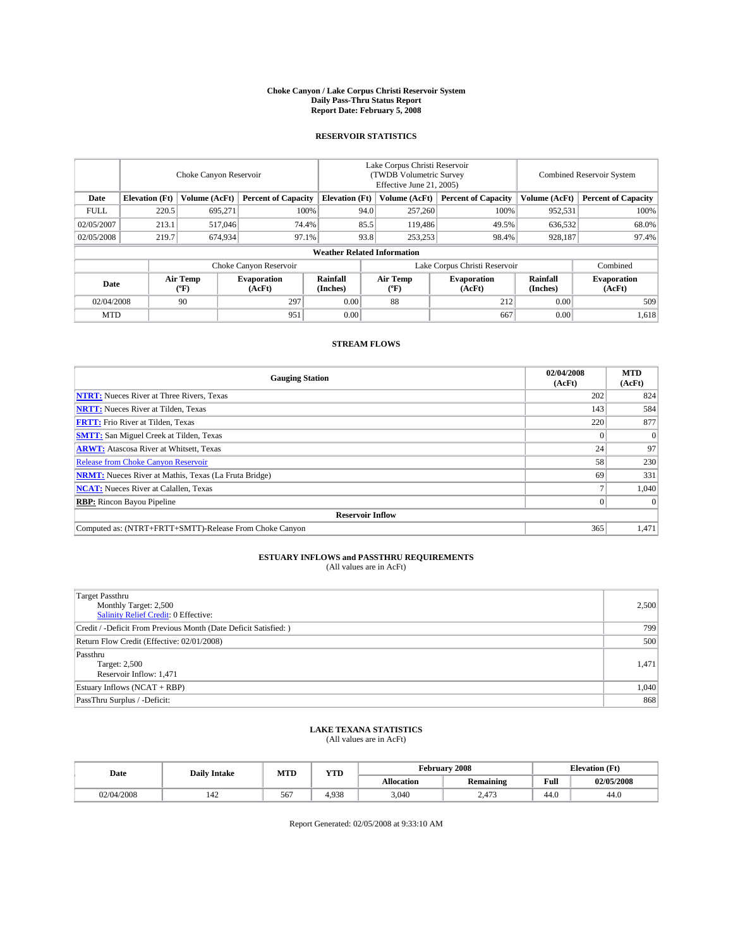#### **Choke Canyon / Lake Corpus Christi Reservoir System Daily Pass-Thru Status Report Report Date: February 5, 2008**

### **RESERVOIR STATISTICS**

|             | Choke Canyon Reservoir             |                  |                              |                       | Lake Corpus Christi Reservoir<br>(TWDB Volumetric Survey<br>Effective June 21, 2005) |                                           |                              |                      | <b>Combined Reservoir System</b> |  |  |
|-------------|------------------------------------|------------------|------------------------------|-----------------------|--------------------------------------------------------------------------------------|-------------------------------------------|------------------------------|----------------------|----------------------------------|--|--|
| Date        | <b>Elevation</b> (Ft)              | Volume (AcFt)    | <b>Percent of Capacity</b>   | <b>Elevation</b> (Ft) |                                                                                      | Volume (AcFt)                             | <b>Percent of Capacity</b>   | Volume (AcFt)        | <b>Percent of Capacity</b>       |  |  |
| <b>FULL</b> | 220.5                              | 695,271          | 100%                         |                       | 94.0                                                                                 | 257,260                                   | 100%                         | 952,531              | 100%                             |  |  |
| 02/05/2007  | 213.1                              | 517,046          | 74.4%                        |                       | 85.5                                                                                 | 119,486                                   | 49.5%                        | 636,532              | 68.0%                            |  |  |
| 02/05/2008  | 219.7                              | 674,934          | 97.1%                        |                       | 93.8                                                                                 | 253,253                                   | 98.4%                        | 928,187              | 97.4%                            |  |  |
|             | <b>Weather Related Information</b> |                  |                              |                       |                                                                                      |                                           |                              |                      |                                  |  |  |
|             |                                    |                  | Choke Canyon Reservoir       |                       | Lake Corpus Christi Reservoir                                                        |                                           |                              |                      | Combined                         |  |  |
| Date        |                                    | Air Temp<br>(°F) | <b>Evaporation</b><br>(AcFt) | Rainfall<br>(Inches)  |                                                                                      | Air Temp<br>$({}^{\mathrm{o}}\mathrm{F})$ | <b>Evaporation</b><br>(AcFt) | Rainfall<br>(Inches) | <b>Evaporation</b><br>(AcFt)     |  |  |
| 02/04/2008  |                                    | 90               | 297                          | 0.00                  |                                                                                      | 88                                        | 212                          | 0.00                 | 509                              |  |  |
| <b>MTD</b>  |                                    |                  | 951                          | 0.00                  |                                                                                      |                                           | 667                          | 0.00                 | 1,618                            |  |  |

### **STREAM FLOWS**

| <b>Gauging Station</b>                                       | 02/04/2008<br>(AcFt) | <b>MTD</b><br>(AcFt) |
|--------------------------------------------------------------|----------------------|----------------------|
| <b>NTRT:</b> Nueces River at Three Rivers, Texas             | 202                  | 824                  |
| <b>NRTT:</b> Nueces River at Tilden, Texas                   | 143                  | 584                  |
| <b>FRTT:</b> Frio River at Tilden, Texas                     | 220                  | 877                  |
| <b>SMTT:</b> San Miguel Creek at Tilden, Texas               |                      | $\Omega$             |
| <b>ARWT:</b> Atascosa River at Whitsett, Texas               | 24 <sub>1</sub>      | 97                   |
| <b>Release from Choke Canyon Reservoir</b>                   | 58                   | 230                  |
| <b>NRMT:</b> Nueces River at Mathis, Texas (La Fruta Bridge) | 69                   | 331                  |
| <b>NCAT:</b> Nueces River at Calallen, Texas                 |                      | 1,040                |
| <b>RBP:</b> Rincon Bayou Pipeline                            |                      | $\Omega$             |
| <b>Reservoir Inflow</b>                                      |                      |                      |
| Computed as: (NTRT+FRTT+SMTT)-Release From Choke Canyon      | 365                  | 1.471                |

## **ESTUARY INFLOWS and PASSTHRU REQUIREMENTS**<br>(All values are in AcFt)

| <b>Target Passthru</b><br>Monthly Target: 2,500<br>Salinity Relief Credit: 0 Effective: | 2,500 |
|-----------------------------------------------------------------------------------------|-------|
| Credit / -Deficit From Previous Month (Date Deficit Satisfied: )                        | 799   |
| Return Flow Credit (Effective: 02/01/2008)                                              | 500   |
| Passthru<br>Target: 2,500<br>Reservoir Inflow: 1,471                                    | 1,471 |
| Estuary Inflows (NCAT + RBP)                                                            | 1,040 |
| PassThru Surplus / -Deficit:                                                            | 868   |

# **LAKE TEXANA STATISTICS** (All values are in AcFt)

| Date       | <b>Daily Intake</b> | <b>MTD</b> | $\mathbf{v}$<br>1 I D | February 2008     | <b>Elevation</b> (Ft) |      |            |
|------------|---------------------|------------|-----------------------|-------------------|-----------------------|------|------------|
|            |                     |            |                       | <b>Allocation</b> | <b>Remaining</b>      | Full | 02/05/2008 |
| 02/04/2008 | 144                 | 567        | 4.938                 | 3.040             | 2.473                 | 44.0 | 44.0       |

Report Generated: 02/05/2008 at 9:33:10 AM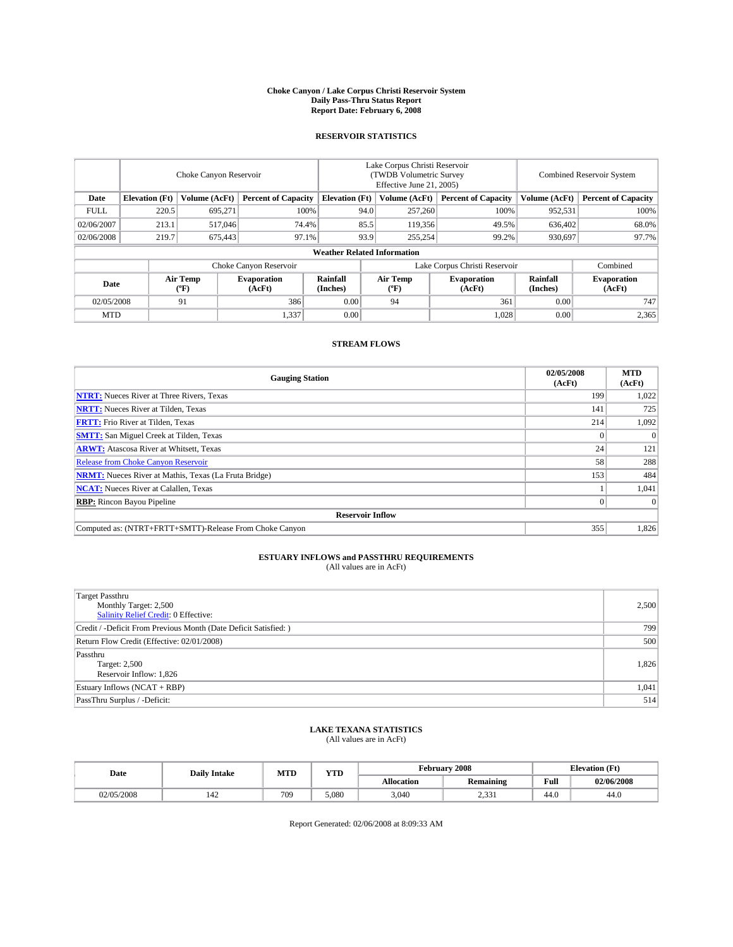#### **Choke Canyon / Lake Corpus Christi Reservoir System Daily Pass-Thru Status Report Report Date: February 6, 2008**

### **RESERVOIR STATISTICS**

|             | Choke Canyon Reservoir             |                  |                              |                       | Lake Corpus Christi Reservoir<br>(TWDB Volumetric Survey<br>Effective June 21, 2005) |                               |                              |                      | Combined Reservoir System    |  |  |
|-------------|------------------------------------|------------------|------------------------------|-----------------------|--------------------------------------------------------------------------------------|-------------------------------|------------------------------|----------------------|------------------------------|--|--|
| Date        | <b>Elevation</b> (Ft)              | Volume (AcFt)    | <b>Percent of Capacity</b>   | <b>Elevation</b> (Ft) |                                                                                      | Volume (AcFt)                 | <b>Percent of Capacity</b>   | Volume (AcFt)        | <b>Percent of Capacity</b>   |  |  |
| <b>FULL</b> | 220.5                              | 695,271          | 100%                         |                       | 94.0                                                                                 | 257,260                       | 100%                         | 952,531              | 100%                         |  |  |
| 02/06/2007  | 213.1                              | 517,046          | 74.4%                        |                       | 85.5                                                                                 | 119,356                       | 49.5%                        | 636,402              | 68.0%                        |  |  |
| 02/06/2008  | 219.7                              | 675,443          | 97.1%                        |                       | 93.9                                                                                 | 255,254                       | 99.2%                        | 930.697              | 97.7%                        |  |  |
|             | <b>Weather Related Information</b> |                  |                              |                       |                                                                                      |                               |                              |                      |                              |  |  |
|             |                                    |                  | Choke Canyon Reservoir       |                       |                                                                                      | Lake Corpus Christi Reservoir |                              | Combined             |                              |  |  |
| Date        |                                    | Air Temp<br>(°F) | <b>Evaporation</b><br>(AcFt) | Rainfall<br>(Inches)  |                                                                                      | Air Temp<br>("F)              | <b>Evaporation</b><br>(AcFt) | Rainfall<br>(Inches) | <b>Evaporation</b><br>(AcFt) |  |  |
| 02/05/2008  |                                    | 91               | 386                          | 0.00                  |                                                                                      | 94                            | 361                          | 0.00                 | 747                          |  |  |
| <b>MTD</b>  |                                    |                  | 1,337                        | 0.00                  |                                                                                      |                               | 1,028                        | 0.00                 | 2,365                        |  |  |

### **STREAM FLOWS**

| <b>Gauging Station</b>                                       | 02/05/2008<br>(AcFt) | <b>MTD</b><br>(AcFt) |
|--------------------------------------------------------------|----------------------|----------------------|
| <b>NTRT:</b> Nueces River at Three Rivers, Texas             | 199                  | 1,022                |
| <b>NRTT:</b> Nueces River at Tilden, Texas                   | 141                  | 725                  |
| <b>FRTT:</b> Frio River at Tilden, Texas                     | 214                  | 1,092                |
| <b>SMTT:</b> San Miguel Creek at Tilden, Texas               |                      | $\Omega$             |
| <b>ARWT:</b> Atascosa River at Whitsett, Texas               | 24                   | 121                  |
| <b>Release from Choke Canyon Reservoir</b>                   | 58                   | 288                  |
| <b>NRMT:</b> Nueces River at Mathis, Texas (La Fruta Bridge) | 153                  | 484                  |
| <b>NCAT:</b> Nueces River at Calallen, Texas                 |                      | 1,041                |
| <b>RBP:</b> Rincon Bayou Pipeline                            |                      | $\Omega$             |
| <b>Reservoir Inflow</b>                                      |                      |                      |
| Computed as: (NTRT+FRTT+SMTT)-Release From Choke Canyon      | 355                  | 1,826                |

## **ESTUARY INFLOWS and PASSTHRU REQUIREMENTS**<br>(All values are in AcFt)

| <b>Target Passthru</b><br>Monthly Target: 2,500<br>Salinity Relief Credit: 0 Effective: | 2,500 |
|-----------------------------------------------------------------------------------------|-------|
| Credit / -Deficit From Previous Month (Date Deficit Satisfied: )                        | 799   |
| Return Flow Credit (Effective: 02/01/2008)                                              | 500   |
| Passthru<br>Target: 2,500<br>Reservoir Inflow: 1,826                                    | 1.826 |
| Estuary Inflows (NCAT + RBP)                                                            | 1,041 |
| PassThru Surplus / -Deficit:                                                            | 514   |

## **LAKE TEXANA STATISTICS** (All values are in AcFt)

| Date       | <b>Daily Intake</b> | <b>MTD</b> | <b>YTD</b> |                   | February 2008    | <b>Elevation</b> (Ft) |            |  |
|------------|---------------------|------------|------------|-------------------|------------------|-----------------------|------------|--|
|            |                     |            |            | <b>Allocation</b> | <b>Remaining</b> | Full                  | 02/06/2008 |  |
| 02/05/2008 | 144                 | 709        | 5.080      | 3.040             | າ 221<br>2. مارس | 44.0                  | 44.0       |  |

Report Generated: 02/06/2008 at 8:09:33 AM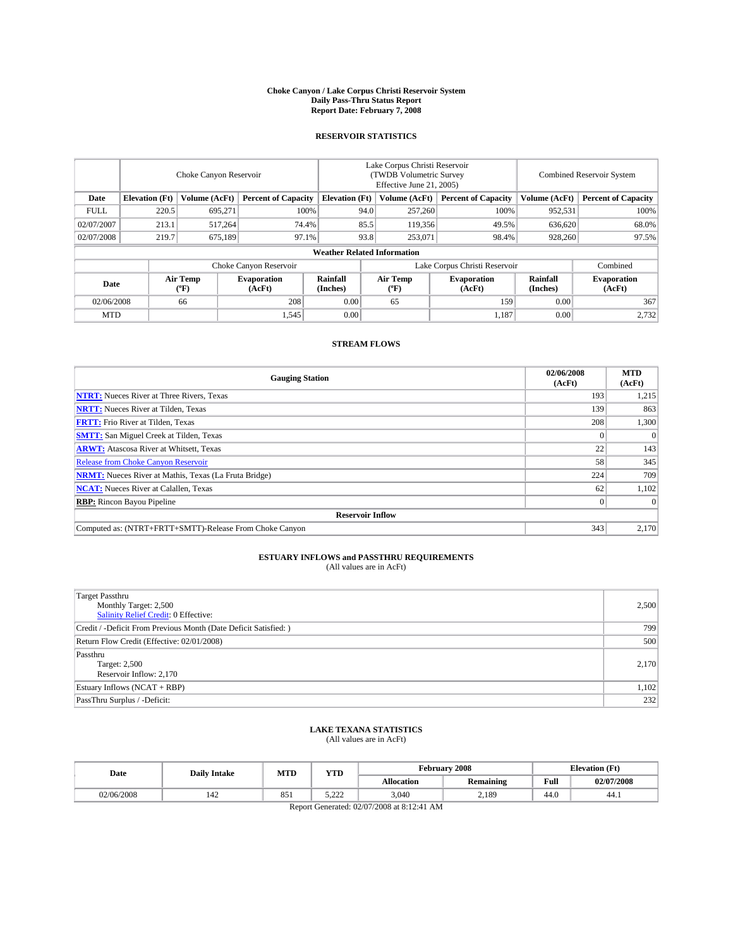#### **Choke Canyon / Lake Corpus Christi Reservoir System Daily Pass-Thru Status Report Report Date: February 7, 2008**

### **RESERVOIR STATISTICS**

|             | Choke Canyon Reservoir             |                  |                              |                               | Lake Corpus Christi Reservoir<br>(TWDB Volumetric Survey<br>Effective June 21, 2005) |                  |                              | <b>Combined Reservoir System</b> |                              |  |
|-------------|------------------------------------|------------------|------------------------------|-------------------------------|--------------------------------------------------------------------------------------|------------------|------------------------------|----------------------------------|------------------------------|--|
| Date        | <b>Elevation</b> (Ft)              | Volume (AcFt)    | <b>Percent of Capacity</b>   | <b>Elevation</b> (Ft)         |                                                                                      | Volume (AcFt)    | <b>Percent of Capacity</b>   | Volume (AcFt)                    | <b>Percent of Capacity</b>   |  |
| <b>FULL</b> | 220.5                              | 695,271          |                              | 100%                          | 94.0                                                                                 | 257,260          | 100%                         | 952,531                          | 100%                         |  |
| 02/07/2007  | 213.1                              | 517,264          | 74.4%                        |                               | 85.5                                                                                 | 119,356          | 49.5%                        | 636,620                          | 68.0%                        |  |
| 02/07/2008  | 219.7                              | 675.189          | 97.1%                        |                               | 93.8                                                                                 | 253,071          | 98.4%                        | 928,260                          | 97.5%                        |  |
|             | <b>Weather Related Information</b> |                  |                              |                               |                                                                                      |                  |                              |                                  |                              |  |
|             |                                    |                  |                              | Lake Corpus Christi Reservoir |                                                                                      | Combined         |                              |                                  |                              |  |
| Date        |                                    | Air Temp<br>(°F) | <b>Evaporation</b><br>(AcFt) | Rainfall<br>(Inches)          |                                                                                      | Air Temp<br>("F) | <b>Evaporation</b><br>(AcFt) | Rainfall<br>(Inches)             | <b>Evaporation</b><br>(AcFt) |  |
| 02/06/2008  |                                    | 66               | 208                          | 0.00                          |                                                                                      | 65               | 159                          | 0.00                             | 367                          |  |
| <b>MTD</b>  |                                    |                  | 1,545                        | 0.00                          |                                                                                      |                  | 1,187                        | 0.00                             | 2,732                        |  |

### **STREAM FLOWS**

| <b>Gauging Station</b>                                       | 02/06/2008<br>(AcFt) | <b>MTD</b><br>(AcFt) |  |  |  |  |  |
|--------------------------------------------------------------|----------------------|----------------------|--|--|--|--|--|
| <b>NTRT:</b> Nueces River at Three Rivers, Texas             | 193                  | 1,215                |  |  |  |  |  |
| <b>NRTT:</b> Nueces River at Tilden, Texas                   | 139                  | 863                  |  |  |  |  |  |
| <b>FRTT:</b> Frio River at Tilden, Texas                     | 208                  | 1,300                |  |  |  |  |  |
| <b>SMTT:</b> San Miguel Creek at Tilden, Texas               |                      | $\Omega$             |  |  |  |  |  |
| <b>ARWT:</b> Atascosa River at Whitsett, Texas               | 22                   | 143                  |  |  |  |  |  |
| <b>Release from Choke Canyon Reservoir</b>                   | 58                   | 345                  |  |  |  |  |  |
| <b>NRMT:</b> Nueces River at Mathis, Texas (La Fruta Bridge) | 224                  | 709                  |  |  |  |  |  |
| <b>NCAT:</b> Nueces River at Calallen, Texas                 | 62                   | 1,102                |  |  |  |  |  |
| <b>RBP:</b> Rincon Bayou Pipeline                            |                      | $\Omega$             |  |  |  |  |  |
| <b>Reservoir Inflow</b>                                      |                      |                      |  |  |  |  |  |
| Computed as: (NTRT+FRTT+SMTT)-Release From Choke Canyon      | 343                  | 2.170                |  |  |  |  |  |

## **ESTUARY INFLOWS and PASSTHRU REQUIREMENTS**<br>(All values are in AcFt)

| <b>Target Passthru</b><br>Monthly Target: 2,500<br>Salinity Relief Credit: 0 Effective: | 2,500 |
|-----------------------------------------------------------------------------------------|-------|
| Credit / -Deficit From Previous Month (Date Deficit Satisfied: )                        | 799   |
| Return Flow Credit (Effective: 02/01/2008)                                              | 500   |
| Passthru<br>Target: 2,500<br>Reservoir Inflow: 2,170                                    | 2.170 |
| Estuary Inflows (NCAT + RBP)                                                            | 1,102 |
| PassThru Surplus / -Deficit:                                                            | 232   |

### **LAKE TEXANA STATISTICS** (All values are in AcFt)

| Date       | <b>Daily Intake</b> | <b>MTD</b> | <b>YTD</b>   |                   | <b>February 2008</b> |      | <b>Elevation</b> (Ft) |
|------------|---------------------|------------|--------------|-------------------|----------------------|------|-----------------------|
|            |                     |            |              | <b>Allocation</b> | <b>Remaining</b>     | Full | 02/07/2008            |
| 02/06/2008 | 142                 | 851        | בר ה<br>---- | 3,040             | 2,189                | 44.0 | 44.1                  |

Report Generated: 02/07/2008 at 8:12:41 AM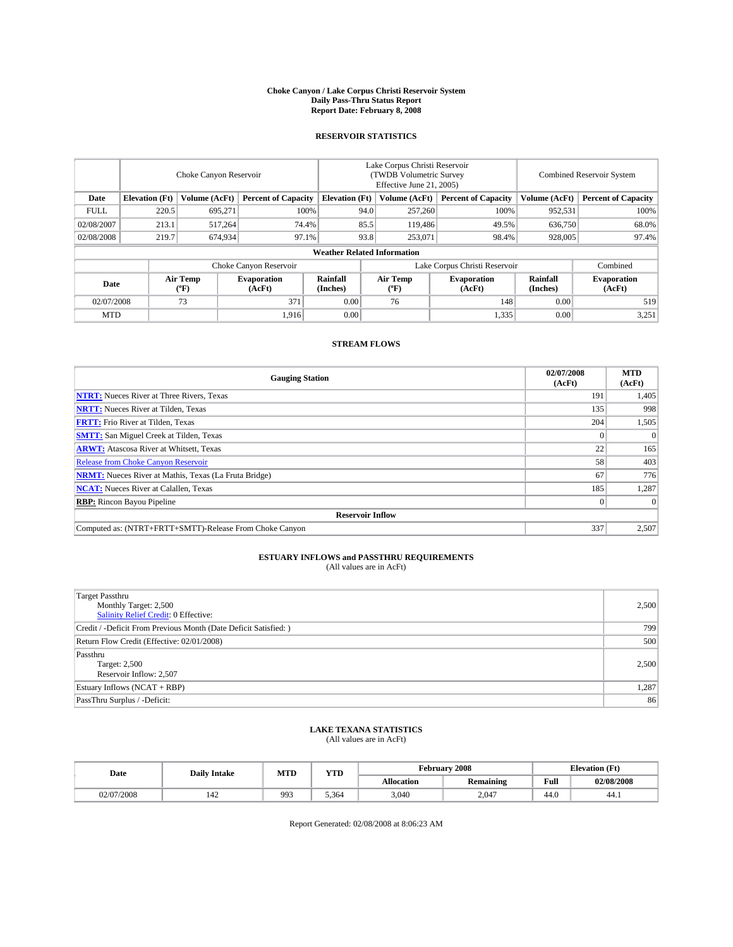#### **Choke Canyon / Lake Corpus Christi Reservoir System Daily Pass-Thru Status Report Report Date: February 8, 2008**

### **RESERVOIR STATISTICS**

|             | Choke Canyon Reservoir             |                  |                              |                       | Lake Corpus Christi Reservoir<br>(TWDB Volumetric Survey<br>Effective June 21, 2005) |                                           |                              | <b>Combined Reservoir System</b> |                              |  |
|-------------|------------------------------------|------------------|------------------------------|-----------------------|--------------------------------------------------------------------------------------|-------------------------------------------|------------------------------|----------------------------------|------------------------------|--|
| Date        | <b>Elevation</b> (Ft)              | Volume (AcFt)    | <b>Percent of Capacity</b>   | <b>Elevation</b> (Ft) |                                                                                      | Volume (AcFt)                             | <b>Percent of Capacity</b>   | Volume (AcFt)                    | <b>Percent of Capacity</b>   |  |
| <b>FULL</b> | 220.5                              | 695,271          | 100%                         |                       | 94.0                                                                                 | 257,260                                   | 100%                         | 952,531                          | 100%                         |  |
| 02/08/2007  | 213.1                              | 517,264          | 74.4%                        |                       | 85.5                                                                                 | 119,486                                   | 49.5%                        | 636,750                          | 68.0%                        |  |
| 02/08/2008  | 219.7                              | 674,934          | 97.1%                        |                       | 93.8                                                                                 | 253,071                                   | 98.4%                        | 928,005                          | 97.4%                        |  |
|             | <b>Weather Related Information</b> |                  |                              |                       |                                                                                      |                                           |                              |                                  |                              |  |
|             |                                    |                  | Choke Canyon Reservoir       |                       | Lake Corpus Christi Reservoir                                                        |                                           |                              |                                  | Combined                     |  |
| Date        |                                    | Air Temp<br>(°F) | <b>Evaporation</b><br>(AcFt) | Rainfall<br>(Inches)  |                                                                                      | Air Temp<br>$({}^{\mathrm{o}}\mathrm{F})$ | <b>Evaporation</b><br>(AcFt) | Rainfall<br>(Inches)             | <b>Evaporation</b><br>(AcFt) |  |
| 02/07/2008  |                                    | 73               | 371                          | 0.00                  |                                                                                      | 76                                        | 148                          | 0.00                             | 519                          |  |
| <b>MTD</b>  |                                    |                  | 1,916                        | 0.00                  |                                                                                      |                                           | 1,335                        | 0.00                             | 3,251                        |  |

### **STREAM FLOWS**

| <b>Gauging Station</b>                                       | 02/07/2008<br>(AcFt) | <b>MTD</b><br>(AcFt) |
|--------------------------------------------------------------|----------------------|----------------------|
| <b>NTRT:</b> Nueces River at Three Rivers, Texas             | 191                  | 1,405                |
| <b>NRTT:</b> Nueces River at Tilden, Texas                   | 135                  | 998                  |
| <b>FRTT:</b> Frio River at Tilden, Texas                     | 204                  | 1,505                |
| <b>SMTT:</b> San Miguel Creek at Tilden, Texas               |                      | $\Omega$             |
| <b>ARWT:</b> Atascosa River at Whitsett, Texas               | 22                   | 165                  |
| <b>Release from Choke Canyon Reservoir</b>                   | 58                   | 403                  |
| <b>NRMT:</b> Nueces River at Mathis, Texas (La Fruta Bridge) | 67                   | 776                  |
| <b>NCAT:</b> Nueces River at Calallen, Texas                 | 185                  | 1,287                |
| <b>RBP:</b> Rincon Bayou Pipeline                            |                      | $\Omega$             |
| <b>Reservoir Inflow</b>                                      |                      |                      |
| Computed as: (NTRT+FRTT+SMTT)-Release From Choke Canyon      | 337                  | 2.507                |

## **ESTUARY INFLOWS and PASSTHRU REQUIREMENTS**<br>(All values are in AcFt)

| Target Passthru<br>Monthly Target: 2,500<br><b>Salinity Relief Credit: 0 Effective:</b> | 2,500 |
|-----------------------------------------------------------------------------------------|-------|
| Credit / -Deficit From Previous Month (Date Deficit Satisfied: )                        | 799   |
| Return Flow Credit (Effective: 02/01/2008)                                              | 500   |
| Passthru<br>Target: 2,500<br>Reservoir Inflow: 2,507                                    | 2,500 |
| Estuary Inflows (NCAT + RBP)                                                            | 1,287 |
| PassThru Surplus / -Deficit:                                                            | 86    |

## **LAKE TEXANA STATISTICS** (All values are in AcFt)

| Date       | <b>Daily Intake</b> | <b>MTD</b> | YTD   |            | February 2008    | <b>Elevation</b> (Ft) |            |
|------------|---------------------|------------|-------|------------|------------------|-----------------------|------------|
|            |                     |            |       | Allocation | <b>Remaining</b> | Full                  | 02/08/2008 |
| 02/07/2008 | 144                 | 993        | 5.364 | 3,040      | 2.047            | 44 C<br>44.U          | -44.1      |

Report Generated: 02/08/2008 at 8:06:23 AM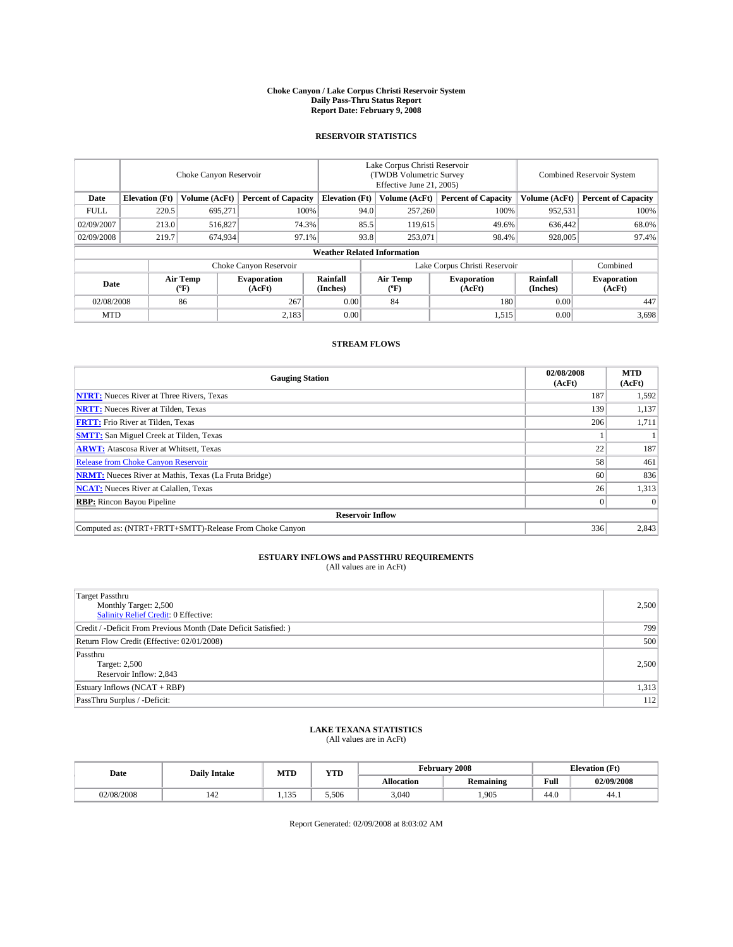#### **Choke Canyon / Lake Corpus Christi Reservoir System Daily Pass-Thru Status Report Report Date: February 9, 2008**

### **RESERVOIR STATISTICS**

|                        | Choke Canyon Reservoir             |                  |                              |                       | Lake Corpus Christi Reservoir<br>(TWDB Volumetric Survey<br>Effective June 21, 2005) |                           |                               | <b>Combined Reservoir System</b> |                              |  |
|------------------------|------------------------------------|------------------|------------------------------|-----------------------|--------------------------------------------------------------------------------------|---------------------------|-------------------------------|----------------------------------|------------------------------|--|
| Date                   | <b>Elevation</b> (Ft)              | Volume (AcFt)    | <b>Percent of Capacity</b>   | <b>Elevation</b> (Ft) |                                                                                      | Volume (AcFt)             | <b>Percent of Capacity</b>    | Volume (AcFt)                    | <b>Percent of Capacity</b>   |  |
| <b>FULL</b>            | 220.5                              | 695,271          | 100%                         |                       | 94.0                                                                                 | 257,260                   | 100%                          | 952,531                          | 100%                         |  |
| 02/09/2007             | 213.0                              | 516,827          | 74.3%                        |                       | 85.5                                                                                 | 119,615                   | 49.6%                         | 636,442                          | 68.0%                        |  |
| 02/09/2008             | 219.7                              | 674,934          | 97.1%                        |                       | 93.8                                                                                 | 253,071                   | 98.4%                         | 928,005                          | 97.4%                        |  |
|                        | <b>Weather Related Information</b> |                  |                              |                       |                                                                                      |                           |                               |                                  |                              |  |
| Choke Canyon Reservoir |                                    |                  |                              |                       |                                                                                      |                           | Lake Corpus Christi Reservoir |                                  | Combined                     |  |
| Date                   |                                    | Air Temp<br>(°F) | <b>Evaporation</b><br>(AcFt) | Rainfall<br>(Inches)  |                                                                                      | Air Temp<br>$^{\circ}$ F) | <b>Evaporation</b><br>(AcFt)  | Rainfall<br>(Inches)             | <b>Evaporation</b><br>(AcFt) |  |
| 02/08/2008             |                                    | 86               | 267                          | 0.00                  |                                                                                      | 84                        | 180                           | 0.00                             | 447                          |  |
| <b>MTD</b>             |                                    |                  | 2,183                        | 0.00                  |                                                                                      |                           | 1,515                         | 0.00                             | 3,698                        |  |

### **STREAM FLOWS**

| <b>Gauging Station</b>                                       | 02/08/2008<br>(AcFt) | <b>MTD</b><br>(AcFt) |
|--------------------------------------------------------------|----------------------|----------------------|
| <b>NTRT:</b> Nueces River at Three Rivers, Texas             | 187                  | 1,592                |
| <b>NRTT:</b> Nueces River at Tilden, Texas                   | 139                  | 1,137                |
| <b>FRTT:</b> Frio River at Tilden, Texas                     | 206                  | 1,711                |
| <b>SMTT:</b> San Miguel Creek at Tilden, Texas               |                      |                      |
| <b>ARWT:</b> Atascosa River at Whitsett, Texas               | 22                   | 187                  |
| <b>Release from Choke Canyon Reservoir</b>                   | 58                   | 461                  |
| <b>NRMT:</b> Nueces River at Mathis, Texas (La Fruta Bridge) | 60                   | 836                  |
| <b>NCAT:</b> Nueces River at Calallen, Texas                 | 26                   | 1,313                |
| <b>RBP:</b> Rincon Bayou Pipeline                            |                      | $\Omega$             |
| <b>Reservoir Inflow</b>                                      |                      |                      |
| Computed as: (NTRT+FRTT+SMTT)-Release From Choke Canyon      | 336                  | 2,843                |

## **ESTUARY INFLOWS and PASSTHRU REQUIREMENTS**<br>(All values are in AcFt)

| <b>Target Passthru</b><br>Monthly Target: 2,500<br>Salinity Relief Credit: 0 Effective: | 2,500 |
|-----------------------------------------------------------------------------------------|-------|
| Credit / -Deficit From Previous Month (Date Deficit Satisfied: )                        | 799   |
| Return Flow Credit (Effective: 02/01/2008)                                              | 500   |
| Passthru<br>Target: 2,500<br>Reservoir Inflow: 2,843                                    | 2.500 |
| Estuary Inflows (NCAT + RBP)                                                            | 1,313 |
| PassThru Surplus / -Deficit:                                                            | 112   |

# **LAKE TEXANA STATISTICS** (All values are in AcFt)

| Date       | <b>Daily Intake</b> | <b>MTD</b> | $\mathbf{v}$<br>1 I D |                   | February 2008    | <b>Elevation</b> (Ft) |            |
|------------|---------------------|------------|-----------------------|-------------------|------------------|-----------------------|------------|
|            |                     |            |                       | <b>Allocation</b> | <b>Remaining</b> | Full                  | 02/09/2008 |
| 02/08/2008 | 144                 | $\sim$<br> | 5.506                 | 3.040             | 1.905            | 44.0                  | 44.1       |

Report Generated: 02/09/2008 at 8:03:02 AM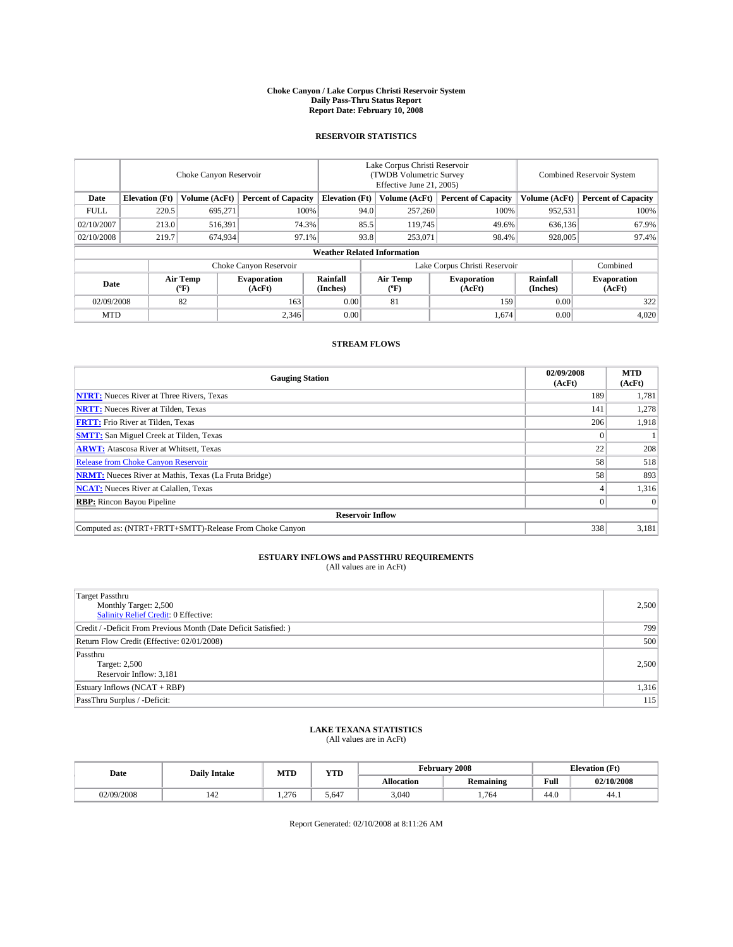#### **Choke Canyon / Lake Corpus Christi Reservoir System Daily Pass-Thru Status Report Report Date: February 10, 2008**

### **RESERVOIR STATISTICS**

|             | Choke Canyon Reservoir             |                  |                              |                       | Lake Corpus Christi Reservoir<br>(TWDB Volumetric Survey<br>Effective June 21, 2005) |                  |                               |                      | Combined Reservoir System    |  |  |
|-------------|------------------------------------|------------------|------------------------------|-----------------------|--------------------------------------------------------------------------------------|------------------|-------------------------------|----------------------|------------------------------|--|--|
| Date        | <b>Elevation</b> (Ft)              | Volume (AcFt)    | <b>Percent of Capacity</b>   | <b>Elevation</b> (Ft) |                                                                                      | Volume (AcFt)    | <b>Percent of Capacity</b>    | Volume (AcFt)        | <b>Percent of Capacity</b>   |  |  |
| <b>FULL</b> | 220.5                              | 695,271          |                              | 100%                  | 94.0                                                                                 | 257,260          | 100%                          | 952,531              | 100%                         |  |  |
| 02/10/2007  | 213.0                              | 516,391          | 74.3%                        |                       | 85.5                                                                                 | 119,745          | 49.6%                         | 636,136              | 67.9%                        |  |  |
| 02/10/2008  | 219.7                              | 674,934          | 97.1%                        |                       | 93.8                                                                                 | 253,071          | 98.4%                         | 928,005              | 97.4%                        |  |  |
|             | <b>Weather Related Information</b> |                  |                              |                       |                                                                                      |                  |                               |                      |                              |  |  |
|             |                                    |                  | Choke Canyon Reservoir       |                       |                                                                                      |                  | Lake Corpus Christi Reservoir |                      | Combined                     |  |  |
| Date        |                                    | Air Temp<br>(°F) | <b>Evaporation</b><br>(AcFt) | Rainfall<br>(Inches)  |                                                                                      | Air Temp<br>("F) | <b>Evaporation</b><br>(AcFt)  | Rainfall<br>(Inches) | <b>Evaporation</b><br>(AcFt) |  |  |
| 02/09/2008  |                                    | 82               | 163                          | 0.00                  |                                                                                      | 81               | 159                           | 0.00                 | 322                          |  |  |
| <b>MTD</b>  |                                    |                  | 2.346                        | 0.00                  |                                                                                      |                  | 1,674                         | 0.00                 | 4,020                        |  |  |

### **STREAM FLOWS**

| <b>Gauging Station</b>                                       | 02/09/2008<br>(AcFt) | <b>MTD</b><br>(AcFt) |
|--------------------------------------------------------------|----------------------|----------------------|
| <b>NTRT:</b> Nueces River at Three Rivers, Texas             | 189                  | 1,781                |
| <b>NRTT:</b> Nueces River at Tilden, Texas                   | 141                  | 1,278                |
| <b>FRTT:</b> Frio River at Tilden, Texas                     | 206                  | 1,918                |
| <b>SMTT:</b> San Miguel Creek at Tilden, Texas               |                      |                      |
| <b>ARWT:</b> Atascosa River at Whitsett, Texas               | 22                   | 208                  |
| <b>Release from Choke Canyon Reservoir</b>                   | 58                   | 518                  |
| <b>NRMT:</b> Nueces River at Mathis, Texas (La Fruta Bridge) | 58                   | 893                  |
| <b>NCAT:</b> Nueces River at Calallen, Texas                 |                      | 1,316                |
| <b>RBP:</b> Rincon Bayou Pipeline                            |                      | $\Omega$             |
| <b>Reservoir Inflow</b>                                      |                      |                      |
| Computed as: (NTRT+FRTT+SMTT)-Release From Choke Canyon      | 338                  | 3,181                |

## **ESTUARY INFLOWS and PASSTHRU REQUIREMENTS**<br>(All values are in AcFt)

| <b>Target Passthru</b><br>Monthly Target: 2,500<br>Salinity Relief Credit: 0 Effective: | 2,500 |
|-----------------------------------------------------------------------------------------|-------|
| Credit / -Deficit From Previous Month (Date Deficit Satisfied: )                        | 799   |
| Return Flow Credit (Effective: 02/01/2008)                                              | 500   |
| Passthru<br>Target: 2,500<br>Reservoir Inflow: 3,181                                    | 2.500 |
| Estuary Inflows (NCAT + RBP)                                                            | 1,316 |
| PassThru Surplus / -Deficit:                                                            | 115   |

## **LAKE TEXANA STATISTICS** (All values are in AcFt)

| Date       | <b>Daily Intake</b> | <b>MTD</b>  | $\mathbf{v}$<br>1 I D |                   | February 2008    | <b>Elevation</b> (Ft) |            |
|------------|---------------------|-------------|-----------------------|-------------------|------------------|-----------------------|------------|
|            |                     |             |                       | <b>Allocation</b> | <b>Remaining</b> | Full                  | 02/10/2008 |
| 02/09/2008 | 144                 | 276<br>1.40 | 5.647                 | 3.040             | 1.764            | 44.0                  | 44.1       |

Report Generated: 02/10/2008 at 8:11:26 AM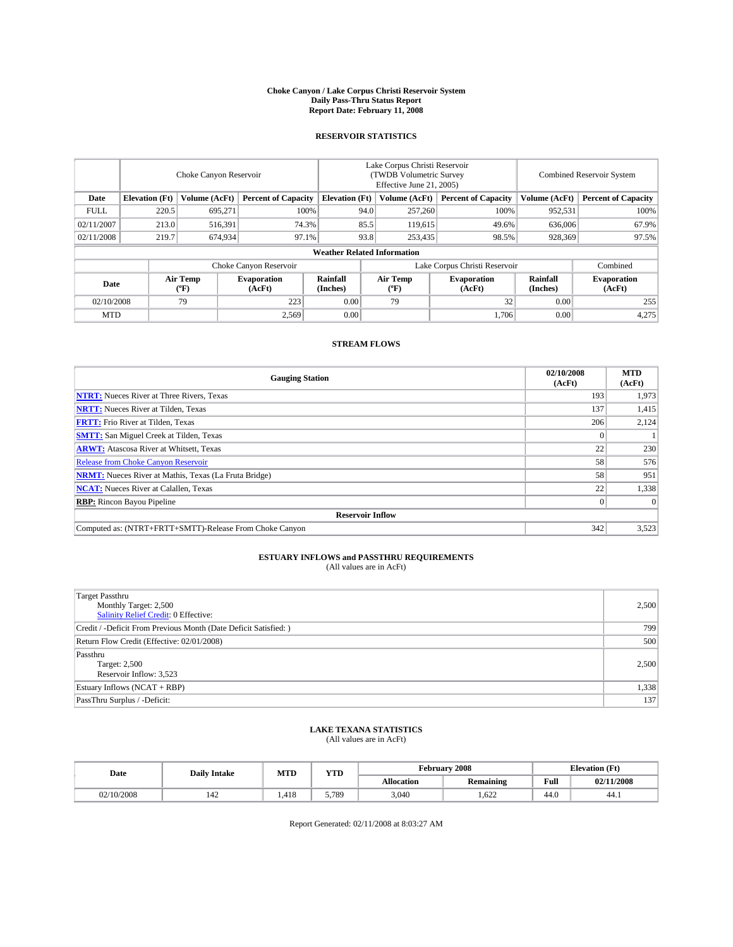#### **Choke Canyon / Lake Corpus Christi Reservoir System Daily Pass-Thru Status Report Report Date: February 11, 2008**

### **RESERVOIR STATISTICS**

|             | Choke Canyon Reservoir             |                  |                              |                       | Lake Corpus Christi Reservoir<br>(TWDB Volumetric Survey<br>Effective June 21, 2005) |                  |                               |                      | Combined Reservoir System    |  |  |
|-------------|------------------------------------|------------------|------------------------------|-----------------------|--------------------------------------------------------------------------------------|------------------|-------------------------------|----------------------|------------------------------|--|--|
| Date        | <b>Elevation</b> (Ft)              | Volume (AcFt)    | <b>Percent of Capacity</b>   | <b>Elevation</b> (Ft) |                                                                                      | Volume (AcFt)    | <b>Percent of Capacity</b>    | Volume (AcFt)        | <b>Percent of Capacity</b>   |  |  |
| <b>FULL</b> | 220.5                              | 695,271          |                              | 100%                  | 94.0                                                                                 | 257,260          | 100%                          | 952,531              | 100%                         |  |  |
| 02/11/2007  | 213.0                              | 516,391          | 74.3%                        |                       | 85.5                                                                                 | 119,615          | 49.6%                         | 636,006              | 67.9%                        |  |  |
| 02/11/2008  | 219.7                              | 674,934          | 97.1%                        |                       | 93.8                                                                                 | 253,435          | 98.5%                         | 928,369              | 97.5%                        |  |  |
|             | <b>Weather Related Information</b> |                  |                              |                       |                                                                                      |                  |                               |                      |                              |  |  |
|             |                                    |                  | Choke Canyon Reservoir       |                       |                                                                                      |                  | Lake Corpus Christi Reservoir |                      | Combined                     |  |  |
| Date        |                                    | Air Temp<br>(°F) | <b>Evaporation</b><br>(AcFt) | Rainfall<br>(Inches)  |                                                                                      | Air Temp<br>("F) | <b>Evaporation</b><br>(AcFt)  | Rainfall<br>(Inches) | <b>Evaporation</b><br>(AcFt) |  |  |
| 02/10/2008  |                                    | 79               | 223                          | 0.00                  |                                                                                      | 79               | 32                            | 0.00                 | 255                          |  |  |
| <b>MTD</b>  |                                    |                  | 2,569                        | 0.00                  |                                                                                      |                  | 1.706                         | 0.00                 | 4,275                        |  |  |

### **STREAM FLOWS**

| <b>Gauging Station</b>                                       | 02/10/2008<br>(AcFt) | <b>MTD</b><br>(AcFt) |
|--------------------------------------------------------------|----------------------|----------------------|
| <b>NTRT:</b> Nueces River at Three Rivers, Texas             | 193                  | 1,973                |
| <b>NRTT:</b> Nueces River at Tilden, Texas                   | 137                  | 1,415                |
| <b>FRTT:</b> Frio River at Tilden, Texas                     | 206                  | 2,124                |
| <b>SMTT:</b> San Miguel Creek at Tilden, Texas               |                      |                      |
| <b>ARWT:</b> Atascosa River at Whitsett, Texas               | 22                   | 230                  |
| <b>Release from Choke Canyon Reservoir</b>                   | 58                   | 576                  |
| <b>NRMT:</b> Nueces River at Mathis, Texas (La Fruta Bridge) | 58                   | 951                  |
| <b>NCAT:</b> Nueces River at Calallen, Texas                 | 22                   | 1,338                |
| <b>RBP:</b> Rincon Bayou Pipeline                            |                      | $\Omega$             |
| <b>Reservoir Inflow</b>                                      |                      |                      |
| Computed as: (NTRT+FRTT+SMTT)-Release From Choke Canyon      | 342                  | 3,523                |

## **ESTUARY INFLOWS and PASSTHRU REQUIREMENTS**<br>(All values are in AcFt)

| Target Passthru<br>Monthly Target: 2,500<br><b>Salinity Relief Credit: 0 Effective:</b> | 2,500 |
|-----------------------------------------------------------------------------------------|-------|
| Credit / -Deficit From Previous Month (Date Deficit Satisfied: )                        | 799   |
| Return Flow Credit (Effective: 02/01/2008)                                              | 500   |
| Passthru<br>Target: 2,500<br>Reservoir Inflow: 3,523                                    | 2,500 |
| Estuary Inflows (NCAT + RBP)                                                            | 1,338 |
| PassThru Surplus / -Deficit:                                                            | 137   |

## **LAKE TEXANA STATISTICS** (All values are in AcFt)

| Date       | <b>Daily Intake</b> | <b>MTD</b>   | <b>YTD</b> |                   | February 2008    | <b>Elevation</b> (Ft) |            |
|------------|---------------------|--------------|------------|-------------------|------------------|-----------------------|------------|
|            |                     |              |            | <b>Allocation</b> | <b>Remaining</b> | Full                  | 02/11/2008 |
| 02/10/2008 | 144                 | 410<br>1.418 | 5,789      | 3.040             | 1.622            | 44.0                  | 44.1       |

Report Generated: 02/11/2008 at 8:03:27 AM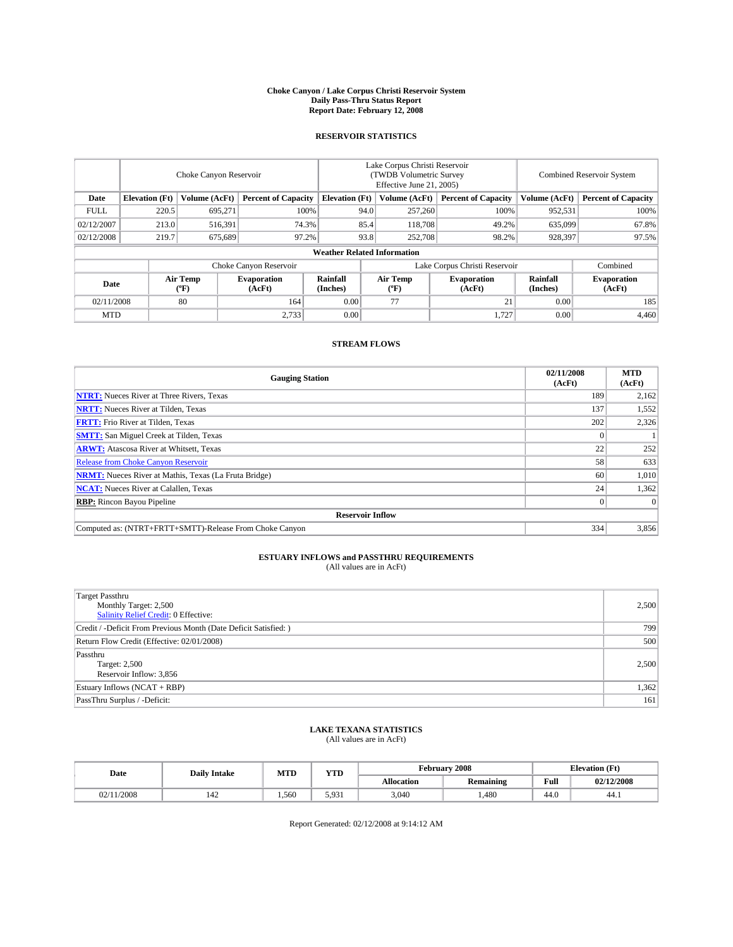#### **Choke Canyon / Lake Corpus Christi Reservoir System Daily Pass-Thru Status Report Report Date: February 12, 2008**

### **RESERVOIR STATISTICS**

|             | Choke Canyon Reservoir |                         |                              |                                    | Lake Corpus Christi Reservoir<br>(TWDB Volumetric Survey<br>Effective June 21, 2005) |                  |                               |                      | Combined Reservoir System    |  |  |
|-------------|------------------------|-------------------------|------------------------------|------------------------------------|--------------------------------------------------------------------------------------|------------------|-------------------------------|----------------------|------------------------------|--|--|
| Date        | <b>Elevation</b> (Ft)  | Volume (AcFt)           | <b>Percent of Capacity</b>   | <b>Elevation</b> (Ft)              |                                                                                      | Volume (AcFt)    | <b>Percent of Capacity</b>    | Volume (AcFt)        | <b>Percent of Capacity</b>   |  |  |
| <b>FULL</b> | 220.5                  | 695.271                 |                              | 100%                               | 94.0                                                                                 | 257,260          | 100%                          | 952,531              | 100%                         |  |  |
| 02/12/2007  | 213.0                  | 516,391                 | 74.3%                        |                                    | 85.4                                                                                 | 118,708          | 49.2%                         | 635,099              | 67.8%                        |  |  |
| 02/12/2008  | 219.7                  | 675,689                 | 97.2%                        |                                    | 93.8                                                                                 | 252,708          | 98.2%                         | 928,397              | 97.5%                        |  |  |
|             |                        |                         |                              | <b>Weather Related Information</b> |                                                                                      |                  |                               |                      |                              |  |  |
|             |                        |                         | Choke Canyon Reservoir       |                                    |                                                                                      |                  | Lake Corpus Christi Reservoir |                      | Combined                     |  |  |
| Date        |                        | <b>Air Temp</b><br>(°F) | <b>Evaporation</b><br>(AcFt) | Rainfall<br>(Inches)               |                                                                                      | Air Temp<br>("F) | <b>Evaporation</b><br>(AcFt)  | Rainfall<br>(Inches) | <b>Evaporation</b><br>(AcFt) |  |  |
| 02/11/2008  |                        | 80                      | 164                          | 0.00                               |                                                                                      | 77               | 21                            | 0.00                 | 185                          |  |  |
| <b>MTD</b>  |                        |                         | 2,733                        | 0.00                               |                                                                                      |                  | 1,727                         | 0.00                 | 4,460                        |  |  |

### **STREAM FLOWS**

| <b>Gauging Station</b>                                       | 02/11/2008<br>(AcFt) | <b>MTD</b><br>(AcFt) |
|--------------------------------------------------------------|----------------------|----------------------|
| <b>NTRT:</b> Nueces River at Three Rivers, Texas             | 189                  | 2,162                |
| <b>NRTT:</b> Nueces River at Tilden, Texas                   | 137                  | 1,552                |
| <b>FRTT:</b> Frio River at Tilden, Texas                     | 202                  | 2,326                |
| <b>SMTT:</b> San Miguel Creek at Tilden, Texas               |                      |                      |
| <b>ARWT:</b> Atascosa River at Whitsett, Texas               | 22                   | 252                  |
| <b>Release from Choke Canyon Reservoir</b>                   | 58                   | 633                  |
| <b>NRMT:</b> Nueces River at Mathis, Texas (La Fruta Bridge) | 60                   | 1,010                |
| <b>NCAT:</b> Nueces River at Calallen, Texas                 | 24 <sub>1</sub>      | 1,362                |
| <b>RBP:</b> Rincon Bayou Pipeline                            |                      | $\Omega$             |
| <b>Reservoir Inflow</b>                                      |                      |                      |
| Computed as: (NTRT+FRTT+SMTT)-Release From Choke Canyon      | 334                  | 3,856                |

## **ESTUARY INFLOWS and PASSTHRU REQUIREMENTS**<br>(All values are in AcFt)

| <b>Target Passthru</b><br>Monthly Target: 2,500<br>Salinity Relief Credit: 0 Effective: | 2,500 |
|-----------------------------------------------------------------------------------------|-------|
| Credit / -Deficit From Previous Month (Date Deficit Satisfied: )                        | 799   |
| Return Flow Credit (Effective: 02/01/2008)                                              | 500   |
| Passthru<br>Target: 2,500<br>Reservoir Inflow: 3,856                                    | 2.500 |
| Estuary Inflows (NCAT + RBP)                                                            | 1,362 |
| PassThru Surplus / -Deficit:                                                            | 161   |

## **LAKE TEXANA STATISTICS** (All values are in AcFt)

| Date   | <b>Daily Intake</b> | <b>MTD</b> | <b>YTD</b> |                   | February 2008    | <b>Elevation</b> (Ft) |            |
|--------|---------------------|------------|------------|-------------------|------------------|-----------------------|------------|
|        |                     |            |            | <b>Allocation</b> | <b>Remaining</b> | Full                  | 02/12/2008 |
| 1/2008 | 144                 | 1.560      | 5.931      | 3.040             | .480             | 44.0                  | 44.1       |

Report Generated: 02/12/2008 at 9:14:12 AM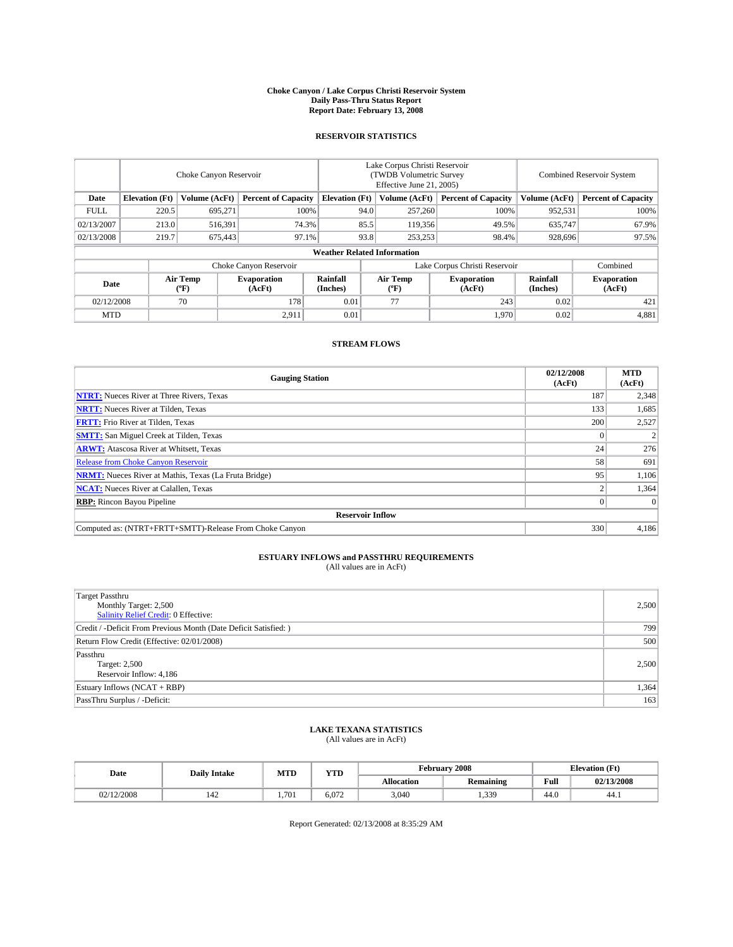#### **Choke Canyon / Lake Corpus Christi Reservoir System Daily Pass-Thru Status Report Report Date: February 13, 2008**

### **RESERVOIR STATISTICS**

|             | Choke Canyon Reservoir             |                  |                              |                       | Lake Corpus Christi Reservoir<br>(TWDB Volumetric Survey<br>Effective June 21, 2005) |                  |                              | <b>Combined Reservoir System</b> |                              |  |
|-------------|------------------------------------|------------------|------------------------------|-----------------------|--------------------------------------------------------------------------------------|------------------|------------------------------|----------------------------------|------------------------------|--|
| Date        | <b>Elevation</b> (Ft)              | Volume (AcFt)    | <b>Percent of Capacity</b>   | <b>Elevation</b> (Ft) |                                                                                      | Volume (AcFt)    | <b>Percent of Capacity</b>   | Volume (AcFt)                    | <b>Percent of Capacity</b>   |  |
| <b>FULL</b> | 220.5                              | 695,271          |                              | 100%                  | 94.0                                                                                 | 257,260          | 100%                         | 952,531                          | 100%                         |  |
| 02/13/2007  | 213.0                              | 516,391          | 74.3%                        |                       | 85.5                                                                                 | 119,356          | 49.5%                        | 635,747                          | 67.9%                        |  |
| 02/13/2008  | 219.7                              | 675,443          | 97.1%                        |                       | 93.8                                                                                 | 253,253          | 98.4%                        | 928,696                          | 97.5%                        |  |
|             | <b>Weather Related Information</b> |                  |                              |                       |                                                                                      |                  |                              |                                  |                              |  |
|             |                                    |                  | Choke Canyon Reservoir       |                       | Lake Corpus Christi Reservoir                                                        |                  |                              |                                  | Combined                     |  |
| Date        |                                    | Air Temp<br>(°F) | <b>Evaporation</b><br>(AcFt) | Rainfall<br>(Inches)  |                                                                                      | Air Temp<br>("F) | <b>Evaporation</b><br>(AcFt) | Rainfall<br>(Inches)             | <b>Evaporation</b><br>(AcFt) |  |
| 02/12/2008  |                                    | 70               | 178                          | 0.01                  |                                                                                      | 77               | 243                          | 0.02                             | 421                          |  |
| <b>MTD</b>  |                                    |                  | 2,911                        | 0.01                  |                                                                                      |                  | 1,970                        | 0.02                             | 4,881                        |  |

### **STREAM FLOWS**

| <b>Gauging Station</b>                                       | 02/12/2008<br>(AcFt) | <b>MTD</b><br>(AcFt) |
|--------------------------------------------------------------|----------------------|----------------------|
| <b>NTRT:</b> Nueces River at Three Rivers, Texas             | 187                  | 2,348                |
| <b>NRTT:</b> Nueces River at Tilden, Texas                   | 133                  | 1,685                |
| <b>FRTT:</b> Frio River at Tilden, Texas                     | 200                  | 2,527                |
| <b>SMTT:</b> San Miguel Creek at Tilden, Texas               |                      |                      |
| <b>ARWT:</b> Atascosa River at Whitsett, Texas               | 24                   | 276                  |
| <b>Release from Choke Canyon Reservoir</b>                   | 58                   | 691                  |
| <b>NRMT:</b> Nueces River at Mathis, Texas (La Fruta Bridge) | 95                   | 1,106                |
| <b>NCAT:</b> Nueces River at Calallen, Texas                 |                      | 1,364                |
| <b>RBP:</b> Rincon Bayou Pipeline                            |                      | $\Omega$             |
| <b>Reservoir Inflow</b>                                      |                      |                      |
| Computed as: (NTRT+FRTT+SMTT)-Release From Choke Canyon      | 330                  | 4.186                |

## **ESTUARY INFLOWS and PASSTHRU REQUIREMENTS**<br>(All values are in AcFt)

| <b>Target Passthru</b><br>Monthly Target: 2,500<br>Salinity Relief Credit: 0 Effective: | 2,500 |
|-----------------------------------------------------------------------------------------|-------|
| Credit / -Deficit From Previous Month (Date Deficit Satisfied: )                        | 799   |
| Return Flow Credit (Effective: 02/01/2008)                                              | 500   |
| Passthru<br>Target: 2,500<br>Reservoir Inflow: 4,186                                    | 2.500 |
| Estuary Inflows (NCAT + RBP)                                                            | 1,364 |
| PassThru Surplus / -Deficit:                                                            | 163   |

# **LAKE TEXANA STATISTICS** (All values are in AcFt)

| Date     | <b>Daily Intake</b> | <b>MTD</b> | YTD   |                   | February 2008    |      | <b>Elevation</b> (Ft) |
|----------|---------------------|------------|-------|-------------------|------------------|------|-----------------------|
|          |                     |            |       | <b>Allocation</b> | <b>Remaining</b> | Full | 02/13/2008            |
| /12/2008 | 144                 | 1.701      | 6.072 | 3.040             | 1,339            | 44.0 | 44.1                  |

Report Generated: 02/13/2008 at 8:35:29 AM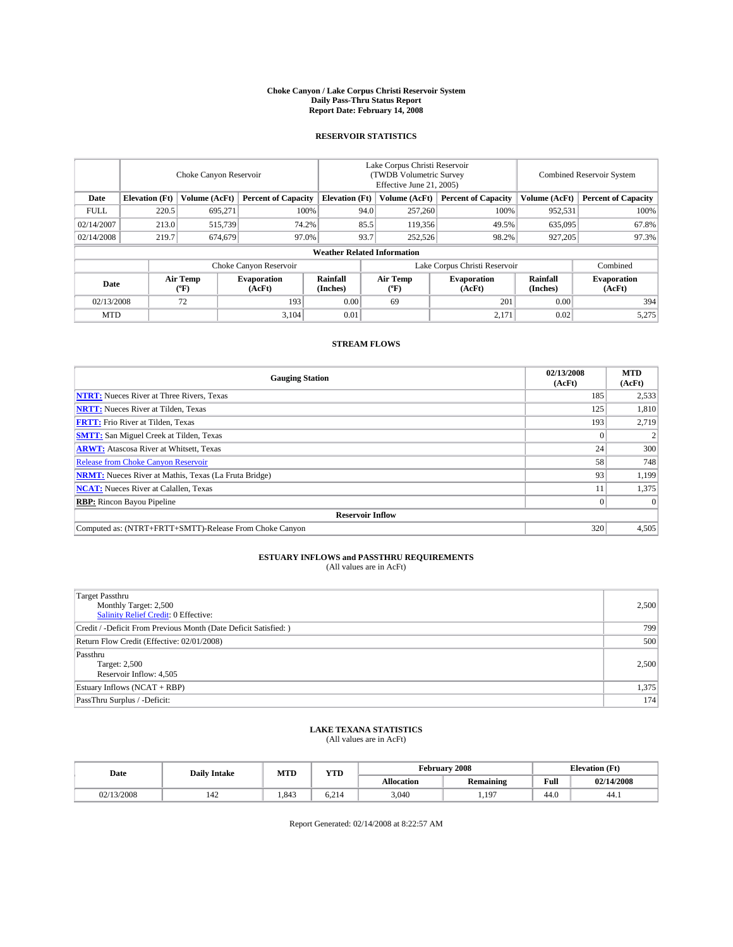#### **Choke Canyon / Lake Corpus Christi Reservoir System Daily Pass-Thru Status Report Report Date: February 14, 2008**

### **RESERVOIR STATISTICS**

|                        | Choke Canyon Reservoir             |                  |                              |                       | Lake Corpus Christi Reservoir<br>(TWDB Volumetric Survey<br>Effective June 21, 2005) |                  |                               |                      | Combined Reservoir System    |  |  |
|------------------------|------------------------------------|------------------|------------------------------|-----------------------|--------------------------------------------------------------------------------------|------------------|-------------------------------|----------------------|------------------------------|--|--|
| Date                   | <b>Elevation</b> (Ft)              | Volume (AcFt)    | <b>Percent of Capacity</b>   | <b>Elevation</b> (Ft) |                                                                                      | Volume (AcFt)    | <b>Percent of Capacity</b>    | Volume (AcFt)        | <b>Percent of Capacity</b>   |  |  |
| <b>FULL</b>            | 220.5                              | 695,271          | 100%                         |                       | 94.0                                                                                 | 257,260          | 100%                          | 952,531              | 100%                         |  |  |
| 02/14/2007             | 213.0                              | 515,739          | 74.2%                        |                       | 85.5                                                                                 | 119,356          | 49.5%                         | 635,095              | 67.8%                        |  |  |
| 02/14/2008             | 219.7                              | 674,679          | 97.0%                        |                       | 93.7                                                                                 | 252,526          | 98.2%                         | 927,205              | 97.3%                        |  |  |
|                        | <b>Weather Related Information</b> |                  |                              |                       |                                                                                      |                  |                               |                      |                              |  |  |
| Choke Canyon Reservoir |                                    |                  |                              |                       |                                                                                      |                  | Lake Corpus Christi Reservoir |                      | Combined                     |  |  |
| Date                   |                                    | Air Temp<br>(°F) | <b>Evaporation</b><br>(AcFt) | Rainfall<br>(Inches)  |                                                                                      | Air Temp<br>("F) | <b>Evaporation</b><br>(AcFt)  | Rainfall<br>(Inches) | <b>Evaporation</b><br>(AcFt) |  |  |
| 02/13/2008             |                                    | 72               | 193                          | 0.00                  |                                                                                      | 69               | 201                           | 0.00                 | 394                          |  |  |
| <b>MTD</b>             |                                    |                  | 3.104                        | 0.01                  |                                                                                      |                  | 2,171                         | 0.02                 | 5,275                        |  |  |

### **STREAM FLOWS**

| <b>Gauging Station</b>                                       | 02/13/2008<br>(AcFt) | <b>MTD</b><br>(AcFt) |
|--------------------------------------------------------------|----------------------|----------------------|
| <b>NTRT:</b> Nueces River at Three Rivers, Texas             | 185                  | 2,533                |
| <b>NRTT:</b> Nueces River at Tilden, Texas                   | 125                  | 1,810                |
| <b>FRTT:</b> Frio River at Tilden, Texas                     | 193                  | 2,719                |
| <b>SMTT:</b> San Miguel Creek at Tilden, Texas               |                      |                      |
| <b>ARWT:</b> Atascosa River at Whitsett, Texas               | 24                   | 300                  |
| <b>Release from Choke Canyon Reservoir</b>                   | 58                   | 748                  |
| <b>NRMT:</b> Nueces River at Mathis, Texas (La Fruta Bridge) | 93                   | 1,199                |
| <b>NCAT:</b> Nueces River at Calallen, Texas                 |                      | 1,375                |
| <b>RBP:</b> Rincon Bayou Pipeline                            |                      | $\Omega$             |
| <b>Reservoir Inflow</b>                                      |                      |                      |
| Computed as: (NTRT+FRTT+SMTT)-Release From Choke Canyon      | 320                  | 4.505                |

## **ESTUARY INFLOWS and PASSTHRU REQUIREMENTS**<br>(All values are in AcFt)

| <b>Target Passthru</b><br>Monthly Target: 2,500<br>Salinity Relief Credit: 0 Effective: | 2,500 |
|-----------------------------------------------------------------------------------------|-------|
| Credit / -Deficit From Previous Month (Date Deficit Satisfied: )                        | 799   |
| Return Flow Credit (Effective: 02/01/2008)                                              | 500   |
| Passthru<br>Target: 2,500<br>Reservoir Inflow: 4,505                                    | 2.500 |
| Estuary Inflows (NCAT + RBP)                                                            | 1,375 |
| PassThru Surplus / -Deficit:                                                            | 174   |

## **LAKE TEXANA STATISTICS** (All values are in AcFt)

| Date      | <b>Daily Intake</b> | <b>MTD</b> | YTD                 |                   | February 2008    | <b>Elevation</b> (Ft) |            |
|-----------|---------------------|------------|---------------------|-------------------|------------------|-----------------------|------------|
|           |                     |            |                     | <b>Allocation</b> | <b>Remaining</b> | Full                  | 02/14/2008 |
| ./13/2008 | 144                 | 1.843      | $\sim$ 0.1<br>0.219 | 3.040             | 1,197            | 44.0                  | -44.1      |

Report Generated: 02/14/2008 at 8:22:57 AM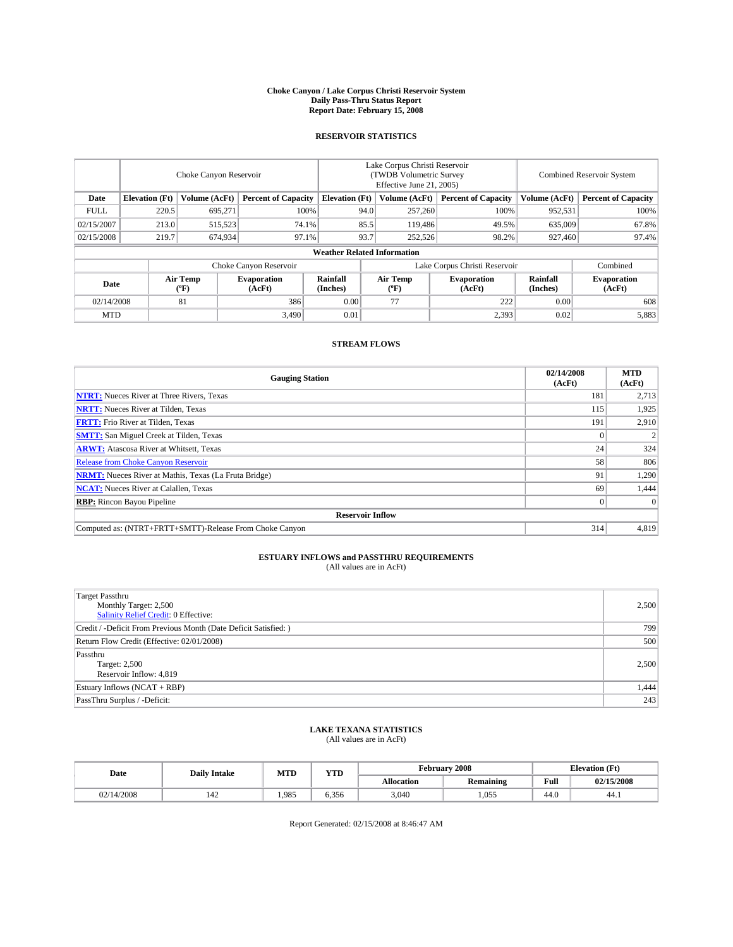#### **Choke Canyon / Lake Corpus Christi Reservoir System Daily Pass-Thru Status Report Report Date: February 15, 2008**

### **RESERVOIR STATISTICS**

|             | Choke Canyon Reservoir             |                               |                              |                       | Lake Corpus Christi Reservoir<br>(TWDB Volumetric Survey<br>Effective June 21, 2005) |                  |                              |                      | <b>Combined Reservoir System</b> |  |  |
|-------------|------------------------------------|-------------------------------|------------------------------|-----------------------|--------------------------------------------------------------------------------------|------------------|------------------------------|----------------------|----------------------------------|--|--|
| Date        | <b>Elevation</b> (Ft)              | Volume (AcFt)                 | <b>Percent of Capacity</b>   | <b>Elevation</b> (Ft) |                                                                                      | Volume (AcFt)    | <b>Percent of Capacity</b>   | Volume (AcFt)        | <b>Percent of Capacity</b>       |  |  |
| <b>FULL</b> | 220.5                              | 695.271                       | 100%                         |                       | 94.0                                                                                 | 257,260          | 100%                         | 952,531              | 100%                             |  |  |
| 02/15/2007  | 213.0                              | 515,523                       | 74.1%                        |                       | 85.5                                                                                 | 119,486          | 49.5%                        | 635,009              | 67.8%                            |  |  |
| 02/15/2008  | 219.7                              | 674,934                       | 97.1%                        |                       | 93.7                                                                                 | 252,526          | 98.2%                        | 927,460              | 97.4%                            |  |  |
|             | <b>Weather Related Information</b> |                               |                              |                       |                                                                                      |                  |                              |                      |                                  |  |  |
|             |                                    | Lake Corpus Christi Reservoir |                              |                       |                                                                                      | Combined         |                              |                      |                                  |  |  |
| Date        |                                    | <b>Air Temp</b><br>(°F)       | <b>Evaporation</b><br>(AcFt) | Rainfall<br>(Inches)  |                                                                                      | Air Temp<br>("F) | <b>Evaporation</b><br>(AcFt) | Rainfall<br>(Inches) | <b>Evaporation</b><br>(AcFt)     |  |  |
| 02/14/2008  |                                    | 81                            | 386                          | 0.00                  |                                                                                      | 77               | 222                          | 0.00                 | 608                              |  |  |
| <b>MTD</b>  |                                    |                               | 3,490                        | 0.01                  |                                                                                      |                  | 2,393                        | 0.02                 | 5,883                            |  |  |

### **STREAM FLOWS**

| <b>Gauging Station</b>                                       | 02/14/2008<br>(AcFt) | <b>MTD</b><br>(AcFt) |
|--------------------------------------------------------------|----------------------|----------------------|
| <b>NTRT:</b> Nueces River at Three Rivers, Texas             | 181                  | 2,713                |
| <b>NRTT:</b> Nueces River at Tilden, Texas                   | 115                  | 1,925                |
| <b>FRTT:</b> Frio River at Tilden, Texas                     | 191                  | 2,910                |
| <b>SMTT:</b> San Miguel Creek at Tilden, Texas               |                      |                      |
| <b>ARWT:</b> Atascosa River at Whitsett, Texas               | 24                   | 324                  |
| <b>Release from Choke Canyon Reservoir</b>                   | 58                   | 806                  |
| <b>NRMT:</b> Nueces River at Mathis, Texas (La Fruta Bridge) | 91                   | 1,290                |
| <b>NCAT:</b> Nueces River at Calallen, Texas                 | 69                   | 1,444                |
| <b>RBP:</b> Rincon Bayou Pipeline                            |                      | $\Omega$             |
| <b>Reservoir Inflow</b>                                      |                      |                      |
| Computed as: (NTRT+FRTT+SMTT)-Release From Choke Canyon      | 314                  | 4,819                |

# **ESTUARY INFLOWS and PASSTHRU REQUIREMENTS**<br>(All values are in AcFt)

| <b>Target Passthru</b><br>Monthly Target: 2,500<br>Salinity Relief Credit: 0 Effective: | 2,500 |
|-----------------------------------------------------------------------------------------|-------|
| Credit / -Deficit From Previous Month (Date Deficit Satisfied: )                        | 799   |
| Return Flow Credit (Effective: 02/01/2008)                                              | 500   |
| Passthru<br>Target: 2,500<br>Reservoir Inflow: 4,819                                    | 2.500 |
| Estuary Inflows (NCAT + RBP)                                                            | 1,444 |
| PassThru Surplus / -Deficit:                                                            | 243   |

# **LAKE TEXANA STATISTICS** (All values are in AcFt)

| Date       | <b>Daily Intake</b> | <b>MTD</b> | YTD                        |                   | February 2008    |      | <b>Elevation</b> (Ft) |
|------------|---------------------|------------|----------------------------|-------------------|------------------|------|-----------------------|
|            |                     |            |                            | <b>Allocation</b> | <b>Remaining</b> | Full | 02/15/2008            |
| 02/14/2008 | 144                 | .985       | $\sim$ 0.4 $\sim$<br>6.350 | 3.040             | 1,055            | 44.0 | 44.1                  |

Report Generated: 02/15/2008 at 8:46:47 AM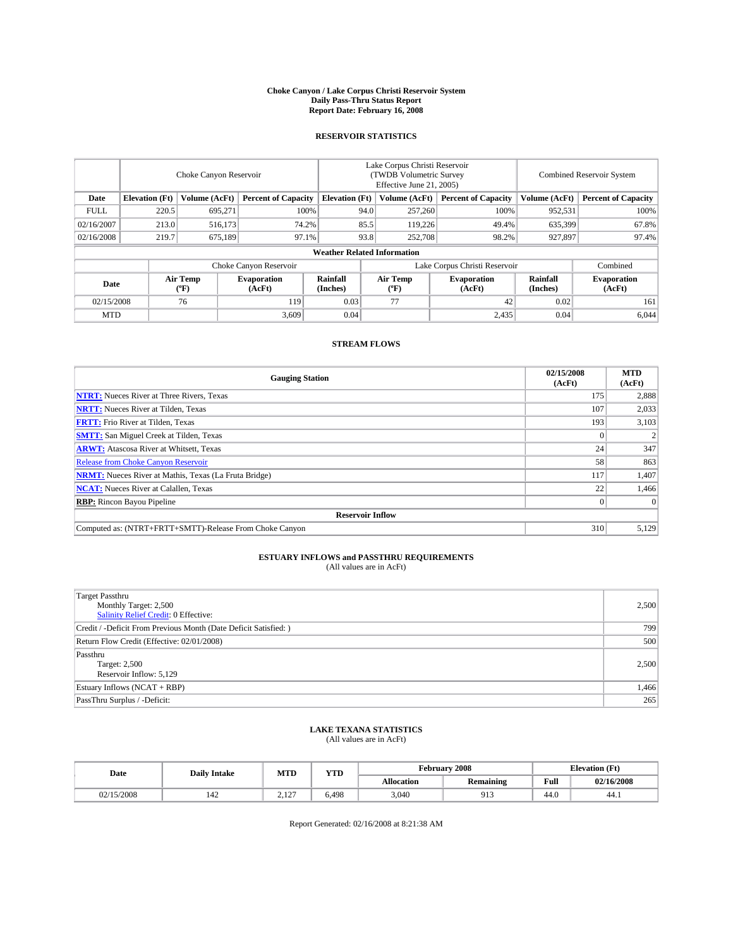#### **Choke Canyon / Lake Corpus Christi Reservoir System Daily Pass-Thru Status Report Report Date: February 16, 2008**

### **RESERVOIR STATISTICS**

|             | Choke Canyon Reservoir             |                  |                              |                       | Lake Corpus Christi Reservoir<br>(TWDB Volumetric Survey<br>Effective June 21, 2005) |                  |                               |                      | <b>Combined Reservoir System</b> |  |  |
|-------------|------------------------------------|------------------|------------------------------|-----------------------|--------------------------------------------------------------------------------------|------------------|-------------------------------|----------------------|----------------------------------|--|--|
| Date        | <b>Elevation</b> (Ft)              | Volume (AcFt)    | <b>Percent of Capacity</b>   | <b>Elevation</b> (Ft) |                                                                                      | Volume (AcFt)    | <b>Percent of Capacity</b>    | Volume (AcFt)        | <b>Percent of Capacity</b>       |  |  |
| <b>FULL</b> | 220.5                              | 695,271          | 100%                         |                       | 94.0                                                                                 | 257,260          | 100%                          | 952,531              | 100%                             |  |  |
| 02/16/2007  | 213.0                              | 516,173          | 74.2%                        |                       | 85.5                                                                                 | 119,226          | 49.4%                         | 635,399              | 67.8%                            |  |  |
| 02/16/2008  | 219.7                              | 675,189          | 97.1%                        |                       | 93.8                                                                                 | 252,708          | 98.2%                         | 927,897              | 97.4%                            |  |  |
|             | <b>Weather Related Information</b> |                  |                              |                       |                                                                                      |                  |                               |                      |                                  |  |  |
|             |                                    |                  | Choke Canyon Reservoir       |                       |                                                                                      |                  | Lake Corpus Christi Reservoir |                      | Combined                         |  |  |
| Date        |                                    | Air Temp<br>(°F) | <b>Evaporation</b><br>(AcFt) | Rainfall<br>(Inches)  |                                                                                      | Air Temp<br>("F) | <b>Evaporation</b><br>(AcFt)  | Rainfall<br>(Inches) | <b>Evaporation</b><br>(AcFt)     |  |  |
| 02/15/2008  |                                    | 76               | 119                          | 0.03                  |                                                                                      | 77               | 42                            | 0.02                 | 161                              |  |  |
| <b>MTD</b>  |                                    |                  | 3,609                        | 0.04                  |                                                                                      |                  | 2,435                         | 0.04                 | 6,044                            |  |  |

### **STREAM FLOWS**

| <b>Gauging Station</b>                                       | 02/15/2008<br>(AcFt) | <b>MTD</b><br>(AcFt) |
|--------------------------------------------------------------|----------------------|----------------------|
| <b>NTRT:</b> Nueces River at Three Rivers, Texas             | 175                  | 2,888                |
| <b>NRTT:</b> Nueces River at Tilden, Texas                   | 107                  | 2,033                |
| <b>FRTT:</b> Frio River at Tilden, Texas                     | 193                  | 3,103                |
| <b>SMTT:</b> San Miguel Creek at Tilden, Texas               |                      |                      |
| <b>ARWT:</b> Atascosa River at Whitsett, Texas               | 24                   | 347                  |
| <b>Release from Choke Canyon Reservoir</b>                   | 58                   | 863                  |
| <b>NRMT:</b> Nueces River at Mathis, Texas (La Fruta Bridge) | 117                  | 1,407                |
| <b>NCAT:</b> Nueces River at Calallen, Texas                 | 22                   | 1,466                |
| <b>RBP:</b> Rincon Bayou Pipeline                            |                      | $\Omega$             |
| <b>Reservoir Inflow</b>                                      |                      |                      |
| Computed as: (NTRT+FRTT+SMTT)-Release From Choke Canyon      | 310                  | 5,129                |

## **ESTUARY INFLOWS and PASSTHRU REQUIREMENTS**<br>(All values are in AcFt)

| <b>Target Passthru</b><br>Monthly Target: 2,500<br>Salinity Relief Credit: 0 Effective: | 2,500 |
|-----------------------------------------------------------------------------------------|-------|
| Credit / -Deficit From Previous Month (Date Deficit Satisfied: )                        | 799   |
| Return Flow Credit (Effective: 02/01/2008)                                              | 500   |
| Passthru<br>Target: 2,500<br>Reservoir Inflow: 5,129                                    | 2.500 |
| Estuary Inflows (NCAT + RBP)                                                            | 1,466 |
| PassThru Surplus / -Deficit:                                                            | 265   |

## **LAKE TEXANA STATISTICS** (All values are in AcFt)

| Date     | <b>Daily Intake</b> | <b>MTD</b>  | YTD   |                   | February 2008       |      | <b>Elevation</b> (Ft) |
|----------|---------------------|-------------|-------|-------------------|---------------------|------|-----------------------|
|          |                     |             |       | <b>Allocation</b> | <b>Remaining</b>    | Full | 02/16/2008            |
| /15/2008 | 14L                 | 107<br>4.14 | 6.498 | 3.040             | $^{\Omega}$<br>11.1 | 44.0 | 44.1                  |

Report Generated: 02/16/2008 at 8:21:38 AM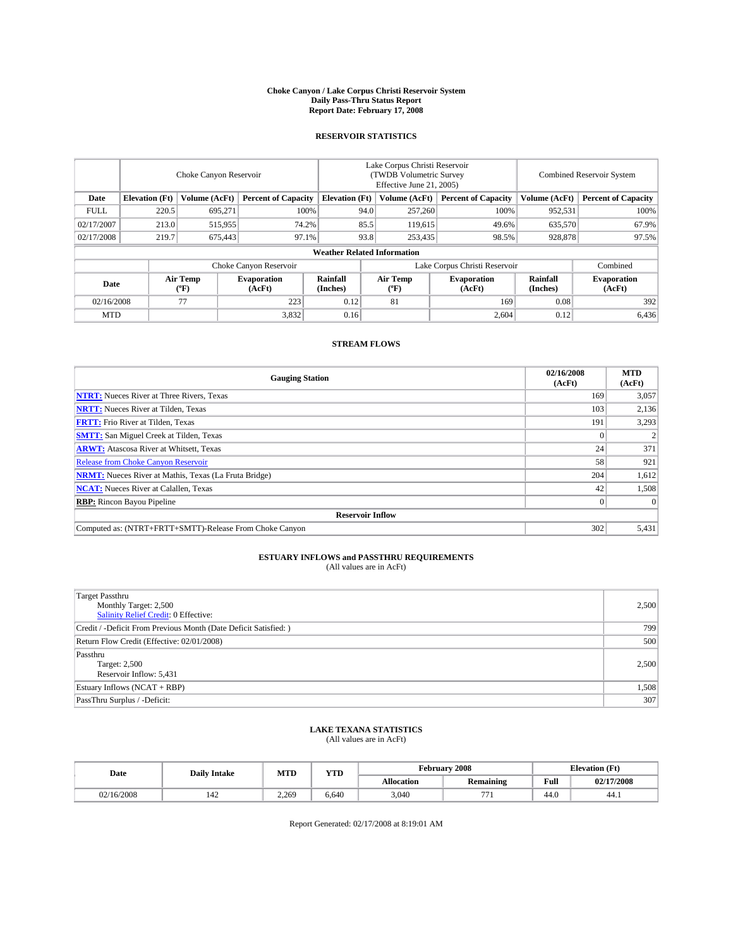#### **Choke Canyon / Lake Corpus Christi Reservoir System Daily Pass-Thru Status Report Report Date: February 17, 2008**

### **RESERVOIR STATISTICS**

|             | Choke Canyon Reservoir             |                  |                              |                       | Lake Corpus Christi Reservoir<br>(TWDB Volumetric Survey<br>Effective June 21, 2005) |                                           |                               |                      | Combined Reservoir System    |  |  |
|-------------|------------------------------------|------------------|------------------------------|-----------------------|--------------------------------------------------------------------------------------|-------------------------------------------|-------------------------------|----------------------|------------------------------|--|--|
| Date        | <b>Elevation</b> (Ft)              | Volume (AcFt)    | <b>Percent of Capacity</b>   | <b>Elevation</b> (Ft) |                                                                                      | Volume (AcFt)                             | <b>Percent of Capacity</b>    | Volume (AcFt)        | <b>Percent of Capacity</b>   |  |  |
| <b>FULL</b> | 220.5                              | 695,271          | 100%                         |                       | 94.0                                                                                 | 257,260                                   | 100%                          | 952,531              | 100%                         |  |  |
| 02/17/2007  | 213.0                              | 515,955          | 74.2%                        |                       | 85.5                                                                                 | 119,615                                   | 49.6%                         | 635,570              | 67.9%                        |  |  |
| 02/17/2008  | 219.7                              | 675,443          | 97.1%                        |                       | 93.8                                                                                 | 253,435                                   | 98.5%                         | 928,878              | 97.5%                        |  |  |
|             | <b>Weather Related Information</b> |                  |                              |                       |                                                                                      |                                           |                               |                      |                              |  |  |
|             |                                    |                  | Choke Canyon Reservoir       |                       |                                                                                      |                                           | Lake Corpus Christi Reservoir |                      | Combined                     |  |  |
| Date        |                                    | Air Temp<br>(°F) | <b>Evaporation</b><br>(AcFt) | Rainfall<br>(Inches)  |                                                                                      | Air Temp<br>$({}^{\mathrm{o}}\mathrm{F})$ | <b>Evaporation</b><br>(AcFt)  | Rainfall<br>(Inches) | <b>Evaporation</b><br>(AcFt) |  |  |
| 02/16/2008  |                                    | 77               | 223                          | 0.12                  |                                                                                      | 81                                        | 169                           | 0.08                 | 392                          |  |  |
| <b>MTD</b>  |                                    |                  | 3,832                        | 0.16                  |                                                                                      |                                           | 2,604                         | 0.12                 | 6,436                        |  |  |

### **STREAM FLOWS**

| <b>Gauging Station</b>                                       | 02/16/2008<br>(AcFt) | <b>MTD</b><br>(AcFt) |
|--------------------------------------------------------------|----------------------|----------------------|
| <b>NTRT:</b> Nueces River at Three Rivers, Texas             | 169                  | 3,057                |
| <b>NRTT:</b> Nueces River at Tilden, Texas                   | 103                  | 2,136                |
| <b>FRTT:</b> Frio River at Tilden, Texas                     | 191                  | 3,293                |
| <b>SMTT:</b> San Miguel Creek at Tilden, Texas               |                      |                      |
| <b>ARWT:</b> Atascosa River at Whitsett, Texas               | 24                   | 371                  |
| <b>Release from Choke Canyon Reservoir</b>                   | 58                   | 921                  |
| <b>NRMT:</b> Nueces River at Mathis, Texas (La Fruta Bridge) | 204                  | 1,612                |
| <b>NCAT:</b> Nueces River at Calallen, Texas                 | 42                   | 1,508                |
| <b>RBP:</b> Rincon Bayou Pipeline                            |                      | $\Omega$             |
| <b>Reservoir Inflow</b>                                      |                      |                      |
| Computed as: (NTRT+FRTT+SMTT)-Release From Choke Canyon      | 302                  | 5,431                |

## **ESTUARY INFLOWS and PASSTHRU REQUIREMENTS**<br>(All values are in AcFt)

| <b>Target Passthru</b><br>Monthly Target: 2,500<br>Salinity Relief Credit: 0 Effective: | 2,500 |
|-----------------------------------------------------------------------------------------|-------|
| Credit / -Deficit From Previous Month (Date Deficit Satisfied: )                        | 799   |
| Return Flow Credit (Effective: 02/01/2008)                                              | 500   |
| Passthru<br>Target: 2,500<br>Reservoir Inflow: 5,431                                    | 2.500 |
| Estuary Inflows (NCAT + RBP)                                                            | 1,508 |
| PassThru Surplus / -Deficit:                                                            | 307   |

# **LAKE TEXANA STATISTICS** (All values are in AcFt)

| Date      | <b>Daily Intake</b> |       | YTD<br><b>MTD</b> |                   |                          | February 2008 | <b>Elevation</b> (Ft) |  |  |
|-----------|---------------------|-------|-------------------|-------------------|--------------------------|---------------|-----------------------|--|--|
|           |                     |       |                   | <b>Allocation</b> | <b>Remaining</b>         | Full          | 02/17/2008            |  |  |
| 2/16/2008 | 144                 | 2.269 | 6.640             | 3.040             | $\overline{\phantom{a}}$ | 44.0          | 44.1                  |  |  |

Report Generated: 02/17/2008 at 8:19:01 AM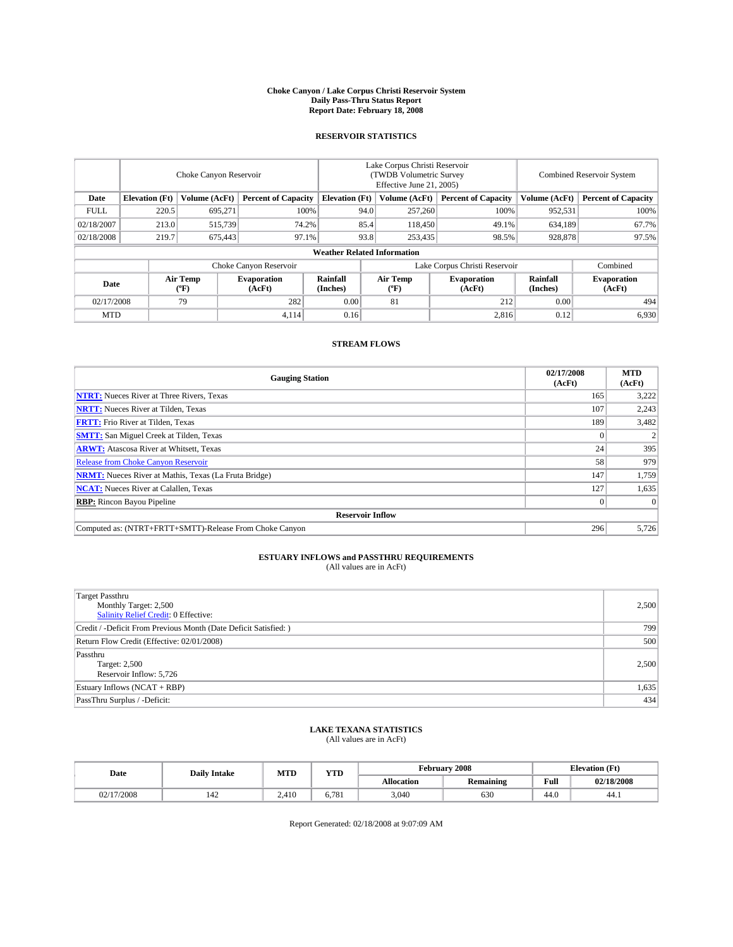#### **Choke Canyon / Lake Corpus Christi Reservoir System Daily Pass-Thru Status Report Report Date: February 18, 2008**

### **RESERVOIR STATISTICS**

|             | Choke Canyon Reservoir             |                  |                              |                       | Lake Corpus Christi Reservoir<br>(TWDB Volumetric Survey<br>Effective June 21, 2005) |                           |                              |                      | <b>Combined Reservoir System</b> |  |  |
|-------------|------------------------------------|------------------|------------------------------|-----------------------|--------------------------------------------------------------------------------------|---------------------------|------------------------------|----------------------|----------------------------------|--|--|
| Date        | <b>Elevation</b> (Ft)              | Volume (AcFt)    | <b>Percent of Capacity</b>   | <b>Elevation</b> (Ft) |                                                                                      | Volume (AcFt)             | <b>Percent of Capacity</b>   | Volume (AcFt)        | <b>Percent of Capacity</b>       |  |  |
| <b>FULL</b> | 220.5                              | 695,271          |                              | 100%                  | 94.0                                                                                 | 257,260                   | 100%                         | 952,531              | 100%                             |  |  |
| 02/18/2007  | 213.0                              | 515,739          | 74.2%                        |                       | 85.4                                                                                 | 118,450                   | 49.1%                        | 634,189              | 67.7%                            |  |  |
| 02/18/2008  | 219.7                              | 675,443          | 97.1%                        |                       | 93.8                                                                                 | 253,435                   | 98.5%                        | 928,878              | 97.5%                            |  |  |
|             | <b>Weather Related Information</b> |                  |                              |                       |                                                                                      |                           |                              |                      |                                  |  |  |
|             |                                    |                  | Choke Canyon Reservoir       |                       | Lake Corpus Christi Reservoir                                                        |                           |                              |                      | Combined                         |  |  |
| Date        |                                    | Air Temp<br>(°F) | <b>Evaporation</b><br>(AcFt) | Rainfall<br>(Inches)  |                                                                                      | Air Temp<br>$^{\circ}$ F) | <b>Evaporation</b><br>(AcFt) | Rainfall<br>(Inches) | <b>Evaporation</b><br>(AcFt)     |  |  |
| 02/17/2008  |                                    | 79               | 282                          | 0.00                  |                                                                                      | 81                        | 212                          | 0.00                 | 494                              |  |  |
| <b>MTD</b>  |                                    |                  | 4,114                        | 0.16                  |                                                                                      |                           | 2,816                        | 0.12                 | 6,930                            |  |  |

### **STREAM FLOWS**

| <b>Gauging Station</b>                                       | 02/17/2008<br>(AcFt) | <b>MTD</b><br>(AcFt) |
|--------------------------------------------------------------|----------------------|----------------------|
| <b>NTRT:</b> Nueces River at Three Rivers, Texas             | 165                  | 3,222                |
| <b>NRTT:</b> Nueces River at Tilden, Texas                   | 107                  | 2,243                |
| <b>FRTT:</b> Frio River at Tilden, Texas                     | 189                  | 3,482                |
| <b>SMTT:</b> San Miguel Creek at Tilden, Texas               |                      |                      |
| <b>ARWT:</b> Atascosa River at Whitsett, Texas               | 24                   | 395                  |
| <b>Release from Choke Canyon Reservoir</b>                   | 58                   | 979                  |
| <b>NRMT:</b> Nueces River at Mathis, Texas (La Fruta Bridge) | 147                  | 1,759                |
| <b>NCAT:</b> Nueces River at Calallen, Texas                 | 127                  | 1,635                |
| <b>RBP:</b> Rincon Bayou Pipeline                            |                      | $\Omega$             |
| <b>Reservoir Inflow</b>                                      |                      |                      |
| Computed as: (NTRT+FRTT+SMTT)-Release From Choke Canyon      | 296                  | 5,726                |

## **ESTUARY INFLOWS and PASSTHRU REQUIREMENTS**<br>(All values are in AcFt)

| <b>Target Passthru</b><br>Monthly Target: 2,500<br>Salinity Relief Credit: 0 Effective: | 2,500 |
|-----------------------------------------------------------------------------------------|-------|
| Credit / -Deficit From Previous Month (Date Deficit Satisfied: )                        | 799   |
| Return Flow Credit (Effective: 02/01/2008)                                              | 500   |
| Passthru<br>Target: 2,500<br>Reservoir Inflow: 5,726                                    | 2.500 |
| Estuary Inflows (NCAT + RBP)                                                            | 1,635 |
| PassThru Surplus / -Deficit:                                                            | 434   |

## **LAKE TEXANA STATISTICS** (All values are in AcFt)

| Date    | <b>Daily Intake</b> | <b>MTD</b>        | YTD   |                   | February 2008    | <b>Elevation</b> (Ft)   |            |
|---------|---------------------|-------------------|-------|-------------------|------------------|-------------------------|------------|
|         |                     |                   |       | <b>Allocation</b> | <b>Remaining</b> | Full                    | 02/18/2008 |
| 17/2008 | 144                 | 2.41 <sup>o</sup> | 6.781 | 3,040             | 630              | $\overline{AB}$<br>44.U | -44.1      |

Report Generated: 02/18/2008 at 9:07:09 AM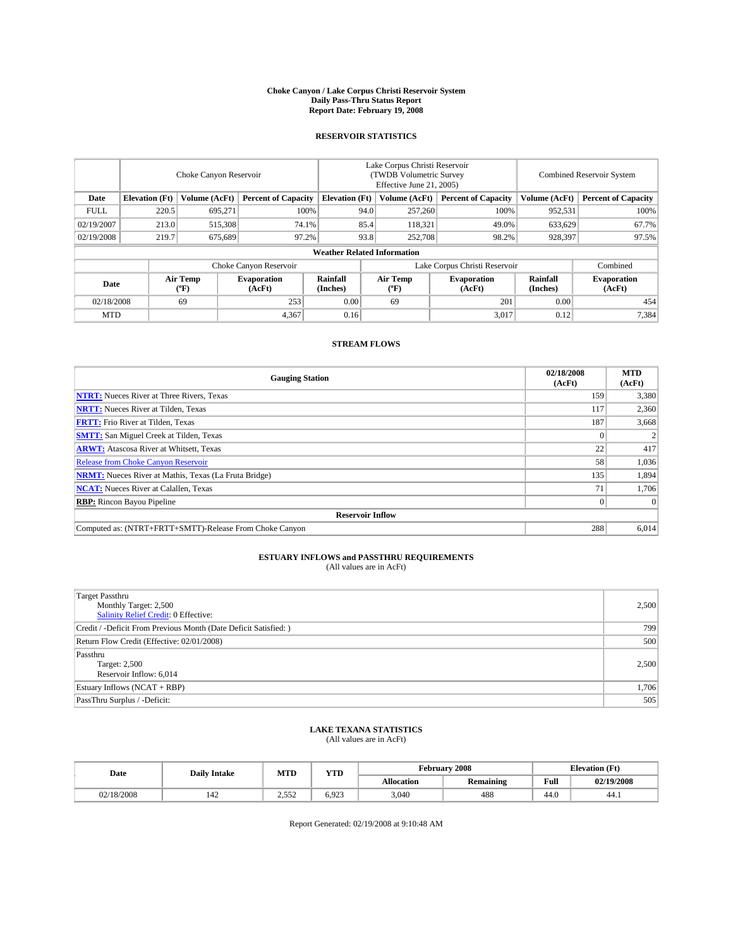#### **Choke Canyon / Lake Corpus Christi Reservoir System Daily Pass-Thru Status Report Report Date: February 19, 2008**

### **RESERVOIR STATISTICS**

|             | Choke Canyon Reservoir |                  |                              |                                    | Lake Corpus Christi Reservoir<br>(TWDB Volumetric Survey<br>Effective June 21, 2005) |                  |                               |                      | Combined Reservoir System    |  |  |
|-------------|------------------------|------------------|------------------------------|------------------------------------|--------------------------------------------------------------------------------------|------------------|-------------------------------|----------------------|------------------------------|--|--|
| Date        | <b>Elevation</b> (Ft)  | Volume (AcFt)    | <b>Percent of Capacity</b>   | <b>Elevation</b> (Ft)              |                                                                                      | Volume (AcFt)    | <b>Percent of Capacity</b>    | Volume (AcFt)        | <b>Percent of Capacity</b>   |  |  |
| <b>FULL</b> | 220.5                  | 695,271          | 100%                         |                                    | 94.0                                                                                 | 257,260          | 100%                          | 952,531              | 100%                         |  |  |
| 02/19/2007  | 213.0                  | 515,308          | 74.1%                        |                                    | 85.4                                                                                 | 118,321          | 49.0%                         | 633,629              | 67.7%                        |  |  |
| 02/19/2008  | 219.7                  | 675,689          | 97.2%                        |                                    | 93.8                                                                                 | 252,708          | 98.2%                         | 928,397              | 97.5%                        |  |  |
|             |                        |                  |                              | <b>Weather Related Information</b> |                                                                                      |                  |                               |                      |                              |  |  |
|             |                        |                  | Choke Canyon Reservoir       |                                    |                                                                                      |                  | Lake Corpus Christi Reservoir |                      | Combined                     |  |  |
| Date        |                        | Air Temp<br>(°F) | <b>Evaporation</b><br>(AcFt) | Rainfall<br>(Inches)               |                                                                                      | Air Temp<br>("F) | <b>Evaporation</b><br>(AcFt)  | Rainfall<br>(Inches) | <b>Evaporation</b><br>(AcFt) |  |  |
| 02/18/2008  |                        | 69               | 253                          | 0.00                               |                                                                                      | 69               | 201                           | 0.00                 | 454                          |  |  |
| <b>MTD</b>  |                        |                  | 4,367                        | 0.16                               |                                                                                      |                  | 3,017                         | 0.12                 | 7,384                        |  |  |

### **STREAM FLOWS**

| <b>Gauging Station</b>                                       | 02/18/2008<br>(AcFt) | <b>MTD</b><br>(AcFt) |  |  |  |  |  |
|--------------------------------------------------------------|----------------------|----------------------|--|--|--|--|--|
| <b>NTRT:</b> Nueces River at Three Rivers, Texas             | 159                  | 3,380                |  |  |  |  |  |
| <b>NRTT:</b> Nueces River at Tilden, Texas                   | 117                  | 2,360                |  |  |  |  |  |
| <b>FRTT:</b> Frio River at Tilden, Texas                     | 187                  | 3,668                |  |  |  |  |  |
| <b>SMTT:</b> San Miguel Creek at Tilden, Texas               |                      |                      |  |  |  |  |  |
| <b>ARWT:</b> Atascosa River at Whitsett, Texas               | 22                   | 417                  |  |  |  |  |  |
| <b>Release from Choke Canyon Reservoir</b>                   | 58                   | 1,036                |  |  |  |  |  |
| <b>NRMT:</b> Nueces River at Mathis, Texas (La Fruta Bridge) | 135                  | 1,894                |  |  |  |  |  |
| <b>NCAT:</b> Nueces River at Calallen, Texas                 | 71                   | 1,706                |  |  |  |  |  |
| <b>RBP:</b> Rincon Bayou Pipeline                            |                      | $\Omega$             |  |  |  |  |  |
| <b>Reservoir Inflow</b>                                      |                      |                      |  |  |  |  |  |
| Computed as: (NTRT+FRTT+SMTT)-Release From Choke Canyon      | 288                  | 6,014                |  |  |  |  |  |

## **ESTUARY INFLOWS and PASSTHRU REQUIREMENTS**<br>(All values are in AcFt)

| <b>Target Passthru</b><br>Monthly Target: 2,500<br>Salinity Relief Credit: 0 Effective: | 2,500 |
|-----------------------------------------------------------------------------------------|-------|
| Credit / -Deficit From Previous Month (Date Deficit Satisfied: )                        | 799   |
| Return Flow Credit (Effective: 02/01/2008)                                              | 500   |
| Passthru<br>Target: 2,500<br>Reservoir Inflow: 6,014                                    | 2.500 |
| Estuary Inflows (NCAT + RBP)                                                            | 1,706 |
| PassThru Surplus / -Deficit:                                                            | 505   |

# **LAKE TEXANA STATISTICS** (All values are in AcFt)

| Date       | <b>Daily Intake</b> | MTD           | YTD   |                   | February 2008    |      | <b>Elevation</b> (Ft) |
|------------|---------------------|---------------|-------|-------------------|------------------|------|-----------------------|
|            |                     |               |       | <b>Allocation</b> | <b>Remaining</b> | Full | 02/19/2008            |
| 02/18/2008 | .44                 | 552<br>ے رہے۔ | 6.923 | 3.040             | 488              | 44.0 | 44.1                  |

Report Generated: 02/19/2008 at 9:10:48 AM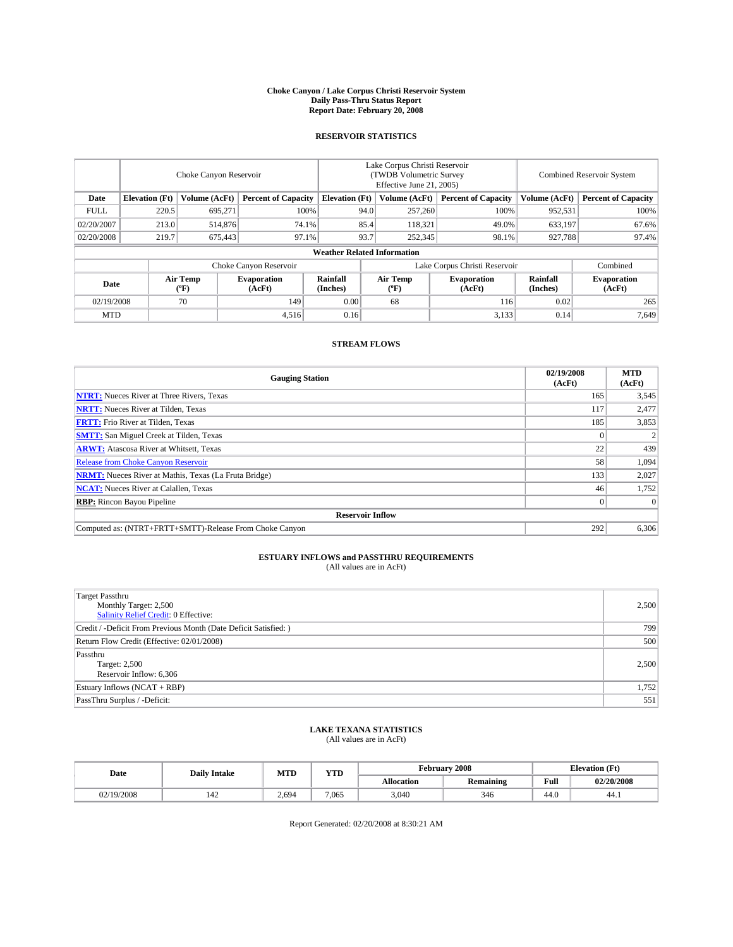#### **Choke Canyon / Lake Corpus Christi Reservoir System Daily Pass-Thru Status Report Report Date: February 20, 2008**

### **RESERVOIR STATISTICS**

|             | Choke Canyon Reservoir             |                  |                              |                       | Lake Corpus Christi Reservoir<br>(TWDB Volumetric Survey<br>Effective June 21, 2005) |                  |                               | Combined Reservoir System |                              |  |
|-------------|------------------------------------|------------------|------------------------------|-----------------------|--------------------------------------------------------------------------------------|------------------|-------------------------------|---------------------------|------------------------------|--|
| Date        | <b>Elevation</b> (Ft)              | Volume (AcFt)    | <b>Percent of Capacity</b>   | <b>Elevation</b> (Ft) |                                                                                      | Volume (AcFt)    | <b>Percent of Capacity</b>    | Volume (AcFt)             | <b>Percent of Capacity</b>   |  |
| <b>FULL</b> | 220.5                              | 695,271          | 100%                         |                       | 94.0                                                                                 | 257,260          | 100%                          | 952,531                   | 100%                         |  |
| 02/20/2007  | 213.0                              | 514,876          | 74.1%                        |                       | 85.4                                                                                 | 118,321          | 49.0%                         | 633,197                   | 67.6%                        |  |
| 02/20/2008  | 219.7                              | 675,443          | 97.1%                        |                       | 93.7                                                                                 | 252,345          | 98.1%                         | 927,788                   | 97.4%                        |  |
|             | <b>Weather Related Information</b> |                  |                              |                       |                                                                                      |                  |                               |                           |                              |  |
|             |                                    |                  | Choke Canyon Reservoir       |                       |                                                                                      |                  | Lake Corpus Christi Reservoir |                           | Combined                     |  |
| Date        |                                    | Air Temp<br>(°F) | <b>Evaporation</b><br>(AcFt) | Rainfall<br>(Inches)  |                                                                                      | Air Temp<br>("F) | <b>Evaporation</b><br>(AcFt)  | Rainfall<br>(Inches)      | <b>Evaporation</b><br>(AcFt) |  |
| 02/19/2008  |                                    | 70               | 149                          | 0.00                  |                                                                                      | 68               | 116                           | 0.02                      | 265                          |  |
| <b>MTD</b>  |                                    |                  | 4,516                        | 0.16                  |                                                                                      |                  | 3,133                         | 0.14                      | 7,649                        |  |

### **STREAM FLOWS**

| <b>Gauging Station</b>                                       | 02/19/2008<br>(AcFt) | <b>MTD</b><br>(AcFt) |
|--------------------------------------------------------------|----------------------|----------------------|
| <b>NTRT:</b> Nueces River at Three Rivers, Texas             | 165                  | 3,545                |
| <b>NRTT:</b> Nueces River at Tilden, Texas                   | 117                  | 2,477                |
| <b>FRTT:</b> Frio River at Tilden, Texas                     | 185                  | 3,853                |
| <b>SMTT:</b> San Miguel Creek at Tilden, Texas               |                      |                      |
| <b>ARWT:</b> Atascosa River at Whitsett, Texas               | 22                   | 439                  |
| <b>Release from Choke Canyon Reservoir</b>                   | 58                   | 1,094                |
| <b>NRMT:</b> Nueces River at Mathis, Texas (La Fruta Bridge) | 133                  | 2,027                |
| <b>NCAT:</b> Nueces River at Calallen, Texas                 | 46                   | 1,752                |
| <b>RBP:</b> Rincon Bayou Pipeline                            |                      | $\Omega$             |
| <b>Reservoir Inflow</b>                                      |                      |                      |
| Computed as: (NTRT+FRTT+SMTT)-Release From Choke Canyon      | 292                  | 6,306                |

## **ESTUARY INFLOWS and PASSTHRU REQUIREMENTS**<br>(All values are in AcFt)

| <b>Target Passthru</b><br>Monthly Target: 2,500<br>Salinity Relief Credit: 0 Effective: | 2,500 |
|-----------------------------------------------------------------------------------------|-------|
| Credit / -Deficit From Previous Month (Date Deficit Satisfied: )                        | 799   |
| Return Flow Credit (Effective: 02/01/2008)                                              | 500   |
| Passthru<br>Target: 2,500<br>Reservoir Inflow: 6,306                                    | 2.500 |
| Estuary Inflows (NCAT + RBP)                                                            | 1,752 |
| PassThru Surplus / -Deficit:                                                            | 551   |

# **LAKE TEXANA STATISTICS** (All values are in AcFt)

| Date     | <b>Daily Intake</b> | <b>MTD</b> | $\mathbf{v}$<br>1 I D |                   | February 2008 | <b>Elevation</b> (Ft) |            |
|----------|---------------------|------------|-----------------------|-------------------|---------------|-----------------------|------------|
|          |                     |            |                       | <b>Allocation</b> | Remaining     | Full                  | 02/20/2008 |
| /19/2008 | 144                 | 2.694      | 7.065                 | 3.040             | 346           | 44.0                  | 44.1       |

Report Generated: 02/20/2008 at 8:30:21 AM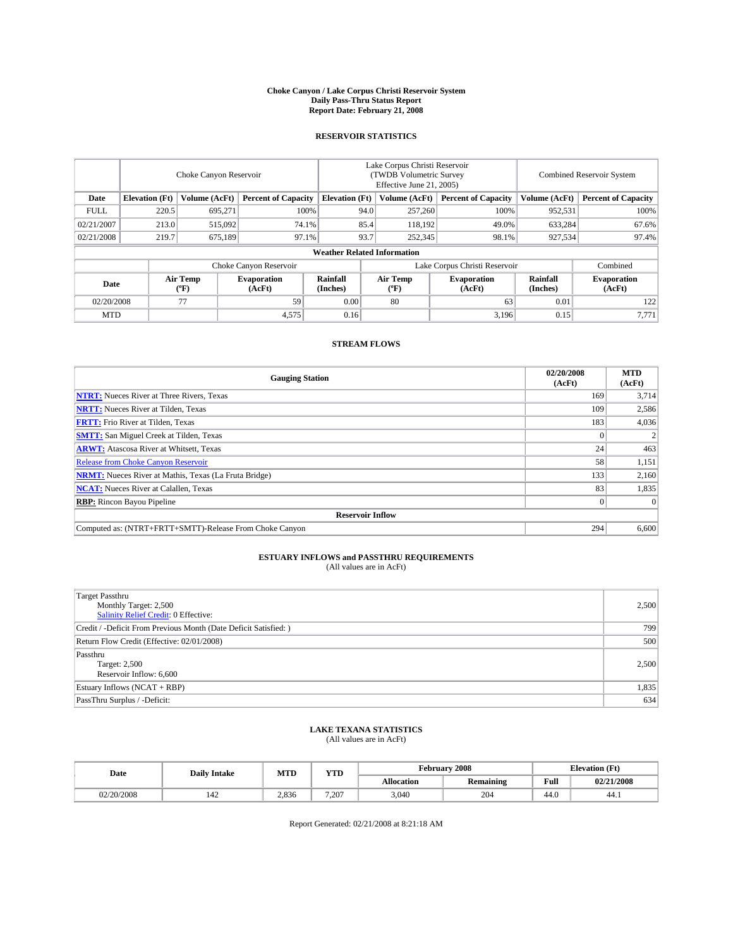#### **Choke Canyon / Lake Corpus Christi Reservoir System Daily Pass-Thru Status Report Report Date: February 21, 2008**

### **RESERVOIR STATISTICS**

|             | Choke Canyon Reservoir |                  |                              |                                    | Lake Corpus Christi Reservoir<br>(TWDB Volumetric Survey<br>Effective June 21, 2005) |                  |                               | <b>Combined Reservoir System</b> |                              |  |
|-------------|------------------------|------------------|------------------------------|------------------------------------|--------------------------------------------------------------------------------------|------------------|-------------------------------|----------------------------------|------------------------------|--|
| Date        | <b>Elevation</b> (Ft)  | Volume (AcFt)    | <b>Percent of Capacity</b>   | <b>Elevation</b> (Ft)              |                                                                                      | Volume (AcFt)    | <b>Percent of Capacity</b>    | Volume (AcFt)                    | <b>Percent of Capacity</b>   |  |
| <b>FULL</b> | 220.5                  | 695.271          | 100%                         |                                    | 94.0                                                                                 | 257,260          | 100%                          | 952,531                          | 100%                         |  |
| 02/21/2007  | 213.0                  | 515,092          | 74.1%                        |                                    | 85.4                                                                                 | 118,192          | 49.0%                         | 633,284                          | 67.6%                        |  |
| 02/21/2008  | 219.7                  | 675.189          | 97.1%                        |                                    | 93.7                                                                                 | 252,345          | 98.1%                         | 927.534                          | 97.4%                        |  |
|             |                        |                  |                              | <b>Weather Related Information</b> |                                                                                      |                  |                               |                                  |                              |  |
|             |                        |                  | Choke Canyon Reservoir       |                                    |                                                                                      |                  | Lake Corpus Christi Reservoir |                                  | Combined                     |  |
| Date        |                        | Air Temp<br>(°F) | <b>Evaporation</b><br>(AcFt) | Rainfall<br>(Inches)               |                                                                                      | Air Temp<br>("F) | <b>Evaporation</b><br>(AcFt)  | Rainfall<br>(Inches)             | <b>Evaporation</b><br>(AcFt) |  |
| 02/20/2008  |                        | 77               | 59                           | 0.00                               |                                                                                      | 80               | 63                            | 0.01                             | 122                          |  |
| <b>MTD</b>  |                        |                  | 4,575                        | 0.16                               |                                                                                      |                  | 3,196                         | 0.15                             | 7,771                        |  |

### **STREAM FLOWS**

| <b>Gauging Station</b>                                       | 02/20/2008<br>(AcFt) | <b>MTD</b><br>(AcFt) |
|--------------------------------------------------------------|----------------------|----------------------|
| <b>NTRT:</b> Nueces River at Three Rivers, Texas             | 169                  | 3,714                |
| <b>NRTT:</b> Nueces River at Tilden, Texas                   | 109                  | 2,586                |
| <b>FRTT:</b> Frio River at Tilden, Texas                     | 183                  | 4,036                |
| <b>SMTT:</b> San Miguel Creek at Tilden, Texas               |                      |                      |
| <b>ARWT:</b> Atascosa River at Whitsett, Texas               | 24 <sub>1</sub>      | 463                  |
| <b>Release from Choke Canyon Reservoir</b>                   | 58                   | 1,151                |
| <b>NRMT:</b> Nueces River at Mathis, Texas (La Fruta Bridge) | 133                  | 2,160                |
| <b>NCAT:</b> Nueces River at Calallen, Texas                 | 83                   | 1,835                |
| <b>RBP:</b> Rincon Bayou Pipeline                            |                      | $\Omega$             |
| <b>Reservoir Inflow</b>                                      |                      |                      |
| Computed as: (NTRT+FRTT+SMTT)-Release From Choke Canyon      | 294                  | 6,600                |

## **ESTUARY INFLOWS and PASSTHRU REQUIREMENTS**<br>(All values are in AcFt)

| <b>Target Passthru</b><br>Monthly Target: 2,500<br>Salinity Relief Credit: 0 Effective: | 2,500 |
|-----------------------------------------------------------------------------------------|-------|
| Credit / -Deficit From Previous Month (Date Deficit Satisfied: )                        | 799   |
| Return Flow Credit (Effective: 02/01/2008)                                              | 500   |
| Passthru<br>Target: 2,500<br>Reservoir Inflow: 6,600                                    | 2.500 |
| Estuary Inflows (NCAT + RBP)                                                            | 1,835 |
| PassThru Surplus / -Deficit:                                                            | 634   |

# **LAKE TEXANA STATISTICS** (All values are in AcFt)

| Date     | <b>Daily Intake</b> | MTD   | <b>YTD</b> |                   | February 2008    |      | <b>Elevation</b> (Ft) |
|----------|---------------------|-------|------------|-------------------|------------------|------|-----------------------|
|          |                     |       |            | <b>Allocation</b> | <b>Remaining</b> | Full | 02/21/2008            |
| /20/2008 | .44                 | 2.836 | 7.207      | 3.040             | 204              | 44.0 | 44.1                  |

Report Generated: 02/21/2008 at 8:21:18 AM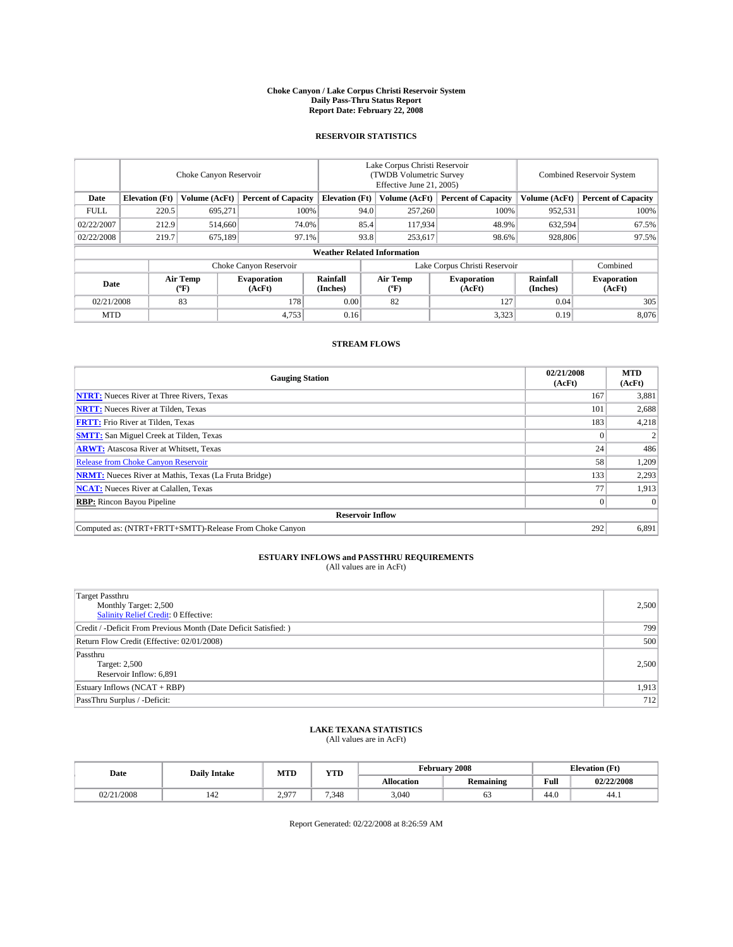#### **Choke Canyon / Lake Corpus Christi Reservoir System Daily Pass-Thru Status Report Report Date: February 22, 2008**

### **RESERVOIR STATISTICS**

|             | Choke Canyon Reservoir             |                  |                              |                             | Lake Corpus Christi Reservoir<br>(TWDB Volumetric Survey<br>Effective June 21, 2005) |                                           |                               |                      | Combined Reservoir System    |  |  |
|-------------|------------------------------------|------------------|------------------------------|-----------------------------|--------------------------------------------------------------------------------------|-------------------------------------------|-------------------------------|----------------------|------------------------------|--|--|
| Date        | <b>Elevation</b> (Ft)              | Volume (AcFt)    | <b>Percent of Capacity</b>   | <b>Elevation</b> (Ft)       |                                                                                      | Volume (AcFt)                             | <b>Percent of Capacity</b>    | Volume (AcFt)        | <b>Percent of Capacity</b>   |  |  |
| <b>FULL</b> | 220.5                              | 695,271          | 100%                         |                             | 94.0                                                                                 | 257,260                                   | 100%                          | 952,531              | 100%                         |  |  |
| 02/22/2007  | 212.9                              | 514,660          | 74.0%                        |                             | 85.4                                                                                 | 117,934                                   | 48.9%                         | 632,594              | 67.5%                        |  |  |
| 02/22/2008  | 219.7                              | 675,189          | 97.1%                        |                             | 93.8                                                                                 | 253,617                                   | 98.6%                         | 928,806              | 97.5%                        |  |  |
|             | <b>Weather Related Information</b> |                  |                              |                             |                                                                                      |                                           |                               |                      |                              |  |  |
|             |                                    |                  | Choke Canyon Reservoir       |                             |                                                                                      |                                           | Lake Corpus Christi Reservoir |                      | Combined                     |  |  |
| Date        |                                    | Air Temp<br>(°F) | <b>Evaporation</b><br>(AcFt) | <b>Rainfall</b><br>(Inches) |                                                                                      | Air Temp<br>$({}^{\mathrm{o}}\mathrm{F})$ | <b>Evaporation</b><br>(AcFt)  | Rainfall<br>(Inches) | <b>Evaporation</b><br>(AcFt) |  |  |
| 02/21/2008  |                                    | 83               | 178                          | 0.00                        |                                                                                      | 82                                        | 127                           | 0.04                 | 305                          |  |  |
| <b>MTD</b>  |                                    |                  | 4,753                        | 0.16                        |                                                                                      |                                           | 3,323                         | 0.19                 | 8,076                        |  |  |

### **STREAM FLOWS**

| <b>Gauging Station</b>                                       | 02/21/2008<br>(AcFt) | <b>MTD</b><br>(AcFt) |
|--------------------------------------------------------------|----------------------|----------------------|
| <b>NTRT:</b> Nueces River at Three Rivers, Texas             | 167                  | 3,881                |
| <b>NRTT:</b> Nueces River at Tilden, Texas                   | 101                  | 2,688                |
| <b>FRTT:</b> Frio River at Tilden, Texas                     | 183                  | 4,218                |
| <b>SMTT:</b> San Miguel Creek at Tilden, Texas               |                      |                      |
| <b>ARWT:</b> Atascosa River at Whitsett, Texas               | 24 <sub>1</sub>      | 486                  |
| <b>Release from Choke Canyon Reservoir</b>                   | 58                   | 1,209                |
| <b>NRMT:</b> Nueces River at Mathis, Texas (La Fruta Bridge) | 133                  | 2,293                |
| <b>NCAT:</b> Nueces River at Calallen, Texas                 | 77                   | 1,913                |
| <b>RBP:</b> Rincon Bayou Pipeline                            |                      | $\Omega$             |
| <b>Reservoir Inflow</b>                                      |                      |                      |
| Computed as: (NTRT+FRTT+SMTT)-Release From Choke Canyon      | 292                  | 6,891                |

## **ESTUARY INFLOWS and PASSTHRU REQUIREMENTS**<br>(All values are in AcFt)

| <b>Target Passthru</b><br>Monthly Target: 2,500<br>Salinity Relief Credit: 0 Effective: | 2,500 |
|-----------------------------------------------------------------------------------------|-------|
| Credit / -Deficit From Previous Month (Date Deficit Satisfied: )                        | 799   |
| Return Flow Credit (Effective: 02/01/2008)                                              | 500   |
| Passthru<br>Target: 2,500<br>Reservoir Inflow: 6,891                                    | 2.500 |
| Estuary Inflows (NCAT + RBP)                                                            | 1,913 |
| PassThru Surplus / -Deficit:                                                            | 712   |

## **LAKE TEXANA STATISTICS** (All values are in AcFt)

| Date     | <b>Daily Intake</b> | MTD              | <b>YTD</b> |                   | February 2008    | <b>Elevation</b> (Ft) |            |
|----------|---------------------|------------------|------------|-------------------|------------------|-----------------------|------------|
|          |                     |                  |            | <b>Allocation</b> | <b>Remaining</b> | Full                  | 02/22/2008 |
| /21/2008 | 144                 | 2007<br><u>.</u> | 7.348      | 3.040             | ິ                | 44.0                  | 44.1       |

Report Generated: 02/22/2008 at 8:26:59 AM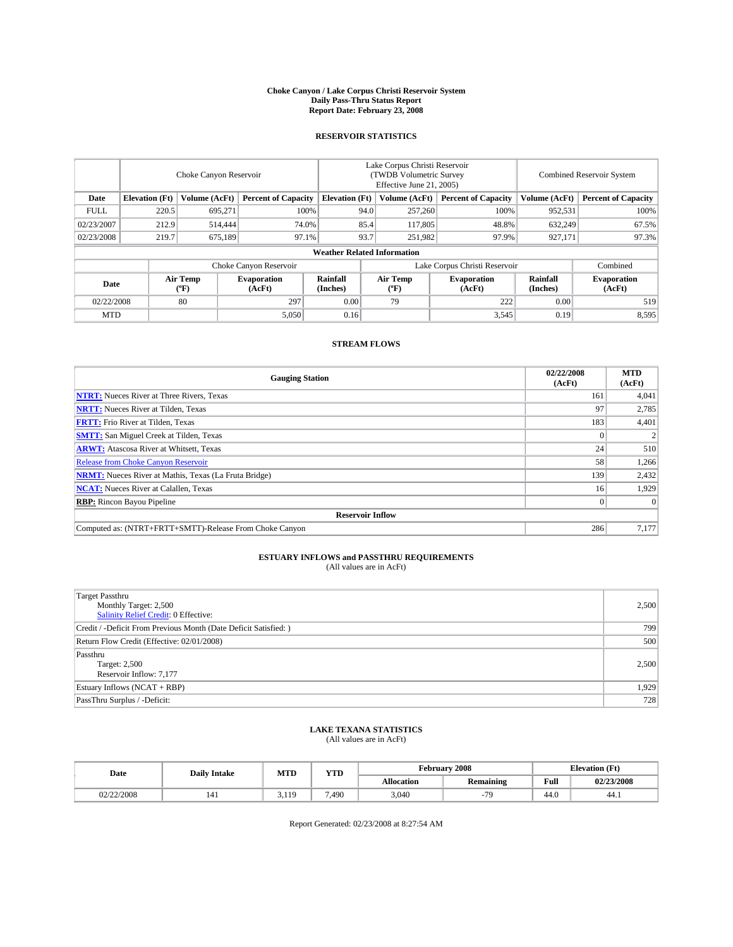#### **Choke Canyon / Lake Corpus Christi Reservoir System Daily Pass-Thru Status Report Report Date: February 23, 2008**

### **RESERVOIR STATISTICS**

|             | Choke Canyon Reservoir             |                  |                              |                       | Lake Corpus Christi Reservoir<br>(TWDB Volumetric Survey<br>Effective June 21, 2005) |                                           |                               |                      | Combined Reservoir System    |  |  |
|-------------|------------------------------------|------------------|------------------------------|-----------------------|--------------------------------------------------------------------------------------|-------------------------------------------|-------------------------------|----------------------|------------------------------|--|--|
| Date        | <b>Elevation</b> (Ft)              | Volume (AcFt)    | <b>Percent of Capacity</b>   | <b>Elevation</b> (Ft) |                                                                                      | Volume (AcFt)                             | <b>Percent of Capacity</b>    | Volume (AcFt)        | <b>Percent of Capacity</b>   |  |  |
| <b>FULL</b> | 220.5                              | 695,271          | 100%                         |                       | 94.0                                                                                 | 257,260                                   | 100%                          | 952,531              | 100%                         |  |  |
| 02/23/2007  | 212.9                              | 514,444          | 74.0%                        |                       | 85.4                                                                                 | 117,805                                   | 48.8%                         | 632,249              | 67.5%                        |  |  |
| 02/23/2008  | 219.7                              | 675,189          | 97.1%                        |                       | 93.7                                                                                 | 251,982                                   | 97.9%                         | 927,171              | 97.3%                        |  |  |
|             | <b>Weather Related Information</b> |                  |                              |                       |                                                                                      |                                           |                               |                      |                              |  |  |
|             |                                    |                  | Choke Canyon Reservoir       |                       |                                                                                      |                                           | Lake Corpus Christi Reservoir |                      | Combined                     |  |  |
| Date        |                                    | Air Temp<br>(°F) | <b>Evaporation</b><br>(AcFt) | Rainfall<br>(Inches)  |                                                                                      | Air Temp<br>$({}^{\mathrm{o}}\mathrm{F})$ | <b>Evaporation</b><br>(AcFt)  | Rainfall<br>(Inches) | <b>Evaporation</b><br>(AcFt) |  |  |
| 02/22/2008  |                                    | 80               | 297                          | 0.00                  |                                                                                      | 79                                        | 222                           | 0.00                 | 519                          |  |  |
| <b>MTD</b>  |                                    |                  | 5,050                        | 0.16                  |                                                                                      |                                           | 3,545                         | 0.19                 | 8,595                        |  |  |

### **STREAM FLOWS**

| <b>Gauging Station</b>                                       | 02/22/2008<br>(AcFt) | <b>MTD</b><br>(AcFt) |
|--------------------------------------------------------------|----------------------|----------------------|
| <b>NTRT:</b> Nueces River at Three Rivers, Texas             | 161                  | 4,041                |
| <b>NRTT:</b> Nueces River at Tilden, Texas                   | 97                   | 2,785                |
| <b>FRTT:</b> Frio River at Tilden, Texas                     | 183                  | 4,401                |
| <b>SMTT:</b> San Miguel Creek at Tilden, Texas               |                      |                      |
| <b>ARWT:</b> Atascosa River at Whitsett, Texas               | 24                   | 510                  |
| <b>Release from Choke Canyon Reservoir</b>                   | 58                   | 1,266                |
| <b>NRMT:</b> Nueces River at Mathis, Texas (La Fruta Bridge) | 139                  | 2,432                |
| <b>NCAT:</b> Nueces River at Calallen, Texas                 | 16                   | 1,929                |
| <b>RBP:</b> Rincon Bayou Pipeline                            |                      | $\Omega$             |
| <b>Reservoir Inflow</b>                                      |                      |                      |
| Computed as: (NTRT+FRTT+SMTT)-Release From Choke Canyon      | 286                  | 7.177                |

## **ESTUARY INFLOWS and PASSTHRU REQUIREMENTS**<br>(All values are in AcFt)

| <b>Target Passthru</b><br>Monthly Target: 2,500<br>Salinity Relief Credit: 0 Effective: | 2,500 |
|-----------------------------------------------------------------------------------------|-------|
| Credit / -Deficit From Previous Month (Date Deficit Satisfied: )                        | 799   |
| Return Flow Credit (Effective: 02/01/2008)                                              | 500   |
| Passthru<br>Target: 2,500<br>Reservoir Inflow: 7,177                                    | 2.500 |
| Estuary Inflows (NCAT + RBP)                                                            | 1,929 |
| PassThru Surplus / -Deficit:                                                            | 728   |

## **LAKE TEXANA STATISTICS** (All values are in AcFt)

| Date       | <b>Daily Intake</b> | MTD     | <b>YTD</b> |                   | February 2008    |      | <b>Elevation</b> (Ft) |
|------------|---------------------|---------|------------|-------------------|------------------|------|-----------------------|
|            |                     |         |            | <b>Allocation</b> | <b>Remaining</b> | Full | 02/23/2008            |
| 02/22/2008 |                     | 10<br>. | 7.490      | 3.040             | 70               | 44.0 | 44.1                  |

Report Generated: 02/23/2008 at 8:27:54 AM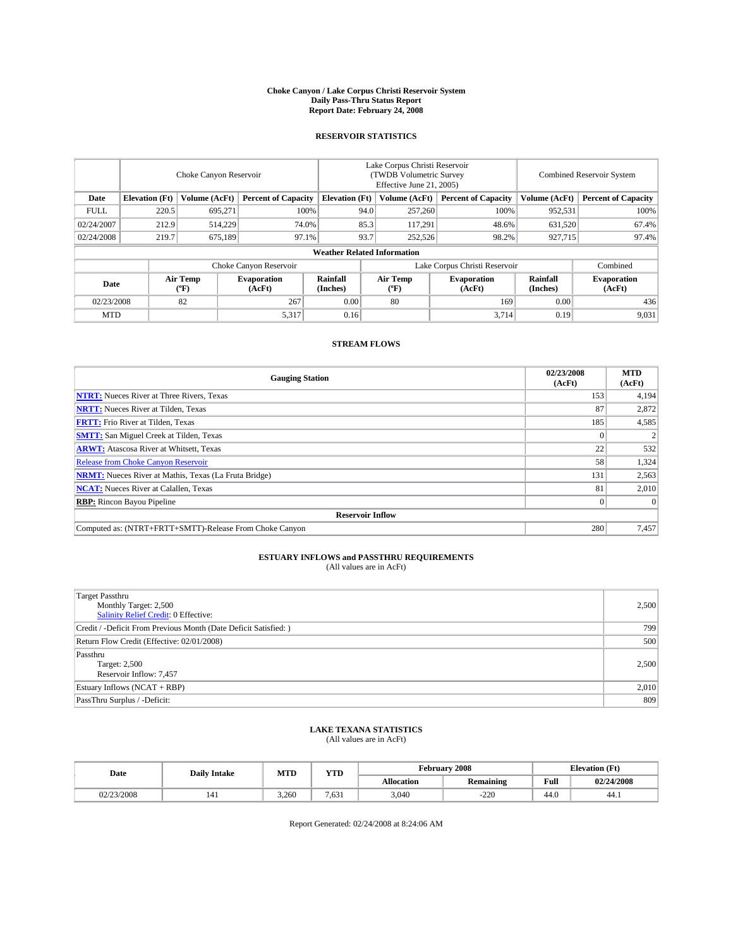#### **Choke Canyon / Lake Corpus Christi Reservoir System Daily Pass-Thru Status Report Report Date: February 24, 2008**

### **RESERVOIR STATISTICS**

|             | Choke Canyon Reservoir             |                  |                              |                       | Lake Corpus Christi Reservoir<br>(TWDB Volumetric Survey<br>Effective June 21, 2005) |                  |                               |                      | Combined Reservoir System    |  |  |
|-------------|------------------------------------|------------------|------------------------------|-----------------------|--------------------------------------------------------------------------------------|------------------|-------------------------------|----------------------|------------------------------|--|--|
| Date        | <b>Elevation</b> (Ft)              | Volume (AcFt)    | <b>Percent of Capacity</b>   | <b>Elevation</b> (Ft) |                                                                                      | Volume (AcFt)    | <b>Percent of Capacity</b>    | Volume (AcFt)        | <b>Percent of Capacity</b>   |  |  |
| <b>FULL</b> | 220.5                              | 695,271          | 100%                         |                       | 94.0                                                                                 | 257,260          | 100%                          | 952,531              | 100%                         |  |  |
| 02/24/2007  | 212.9                              | 514,229          | 74.0%                        |                       | 85.3                                                                                 | 117,291          | 48.6%                         | 631,520              | 67.4%                        |  |  |
| 02/24/2008  | 219.7                              | 675,189          | 97.1%                        |                       | 93.7                                                                                 | 252,526          | 98.2%                         | 927,715              | 97.4%                        |  |  |
|             | <b>Weather Related Information</b> |                  |                              |                       |                                                                                      |                  |                               |                      |                              |  |  |
|             |                                    |                  | Choke Canyon Reservoir       |                       |                                                                                      |                  | Lake Corpus Christi Reservoir |                      | Combined                     |  |  |
| Date        |                                    | Air Temp<br>(°F) | <b>Evaporation</b><br>(AcFt) | Rainfall<br>(Inches)  |                                                                                      | Air Temp<br>("F) | <b>Evaporation</b><br>(AcFt)  | Rainfall<br>(Inches) | <b>Evaporation</b><br>(AcFt) |  |  |
| 02/23/2008  |                                    | 82               | 267                          | 0.00                  |                                                                                      | 80               | 169                           | 0.00                 | 436                          |  |  |
| <b>MTD</b>  |                                    |                  | 5,317                        | 0.16                  |                                                                                      |                  | 3,714                         | 0.19                 | 9,031                        |  |  |

### **STREAM FLOWS**

| <b>Gauging Station</b>                                       | 02/23/2008<br>(AcFt) | <b>MTD</b><br>(AcFt) |
|--------------------------------------------------------------|----------------------|----------------------|
| <b>NTRT:</b> Nueces River at Three Rivers, Texas             | 153                  | 4,194                |
| <b>NRTT:</b> Nueces River at Tilden, Texas                   | 87                   | 2,872                |
| <b>FRTT:</b> Frio River at Tilden, Texas                     | 185                  | 4,585                |
| <b>SMTT:</b> San Miguel Creek at Tilden, Texas               |                      |                      |
| <b>ARWT:</b> Atascosa River at Whitsett, Texas               | 22                   | 532                  |
| <b>Release from Choke Canyon Reservoir</b>                   | 58                   | 1,324                |
| <b>NRMT:</b> Nueces River at Mathis, Texas (La Fruta Bridge) | 131                  | 2,563                |
| <b>NCAT:</b> Nueces River at Calallen, Texas                 | 81                   | 2,010                |
| <b>RBP:</b> Rincon Bayou Pipeline                            |                      | $\Omega$             |
| <b>Reservoir Inflow</b>                                      |                      |                      |
| Computed as: (NTRT+FRTT+SMTT)-Release From Choke Canyon      | 280                  | 7,457                |

## **ESTUARY INFLOWS and PASSTHRU REQUIREMENTS**<br>(All values are in AcFt)

| <b>Target Passthru</b><br>Monthly Target: 2,500<br>Salinity Relief Credit: 0 Effective: | 2,500 |
|-----------------------------------------------------------------------------------------|-------|
| Credit / -Deficit From Previous Month (Date Deficit Satisfied: )                        | 799   |
| Return Flow Credit (Effective: 02/01/2008)                                              | 500   |
| Passthru<br>Target: 2,500<br>Reservoir Inflow: 7,457                                    | 2.500 |
| Estuary Inflows (NCAT + RBP)                                                            | 2,010 |
| PassThru Surplus / -Deficit:                                                            | 809   |

# **LAKE TEXANA STATISTICS** (All values are in AcFt)

| Date       | <b>Daily Intake</b> | <b>MTD</b> | $\mathbf{v}$<br>1 I D |                   | February 2008    |      | <b>Elevation</b> (Ft) |
|------------|---------------------|------------|-----------------------|-------------------|------------------|------|-----------------------|
|            |                     |            |                       | <b>Allocation</b> | <b>Remaining</b> | Full | 02/24/2008            |
| 02/23/2008 | 141                 | 3.260      | 7.63 <sub>1</sub>     | 3.040             | $-220$           | 44.0 | 44.1                  |

Report Generated: 02/24/2008 at 8:24:06 AM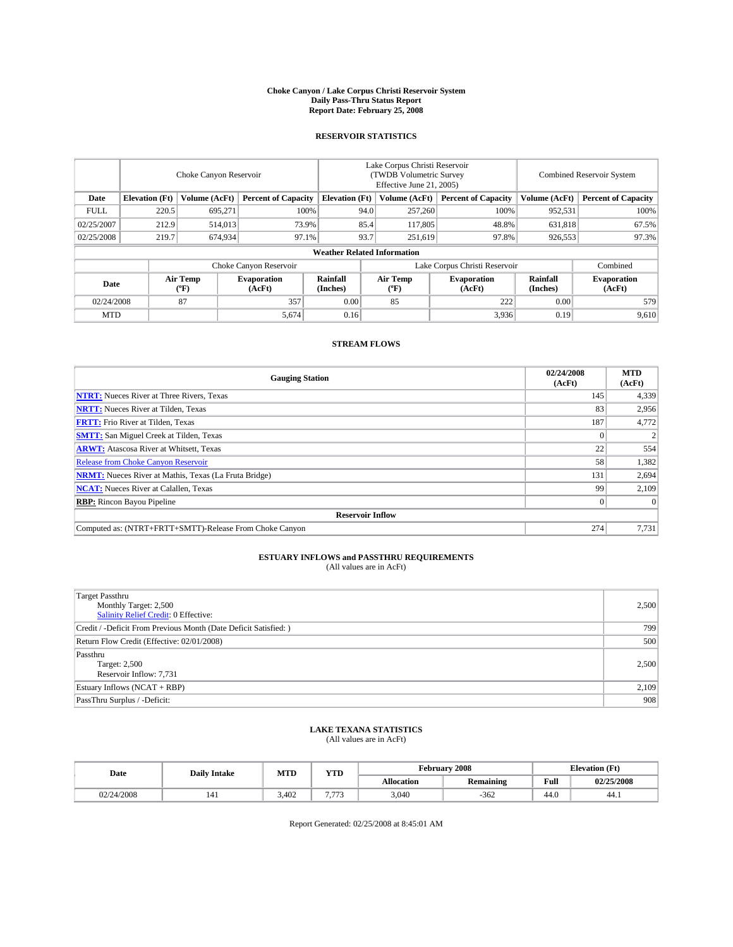#### **Choke Canyon / Lake Corpus Christi Reservoir System Daily Pass-Thru Status Report Report Date: February 25, 2008**

### **RESERVOIR STATISTICS**

|                        | Choke Canyon Reservoir             |                  |                              |                       | Lake Corpus Christi Reservoir<br>(TWDB Volumetric Survey<br>Effective June 21, 2005) |                  |                               |                      | Combined Reservoir System    |  |  |
|------------------------|------------------------------------|------------------|------------------------------|-----------------------|--------------------------------------------------------------------------------------|------------------|-------------------------------|----------------------|------------------------------|--|--|
| Date                   | <b>Elevation</b> (Ft)              | Volume (AcFt)    | <b>Percent of Capacity</b>   | <b>Elevation</b> (Ft) |                                                                                      | Volume (AcFt)    | <b>Percent of Capacity</b>    | Volume (AcFt)        | <b>Percent of Capacity</b>   |  |  |
| <b>FULL</b>            | 220.5                              | 695,271          | 100%                         |                       | 94.0                                                                                 | 257,260          | 100%                          | 952,531              | 100%                         |  |  |
| 02/25/2007             | 212.9                              | 514,013          | 73.9%                        |                       | 85.4                                                                                 | 117,805          | 48.8%                         | 631,818              | 67.5%                        |  |  |
| 02/25/2008             | 219.7                              | 674,934          | 97.1%                        |                       | 93.7                                                                                 | 251,619          | 97.8%                         | 926,553              | 97.3%                        |  |  |
|                        | <b>Weather Related Information</b> |                  |                              |                       |                                                                                      |                  |                               |                      |                              |  |  |
| Choke Canyon Reservoir |                                    |                  |                              |                       |                                                                                      |                  | Lake Corpus Christi Reservoir |                      | Combined                     |  |  |
| Date                   |                                    | Air Temp<br>(°F) | <b>Evaporation</b><br>(AcFt) | Rainfall<br>(Inches)  |                                                                                      | Air Temp<br>("F) | <b>Evaporation</b><br>(AcFt)  | Rainfall<br>(Inches) | <b>Evaporation</b><br>(AcFt) |  |  |
| 02/24/2008             |                                    | 87               | 357                          | 0.00                  |                                                                                      | 85               | 222                           | 0.00                 | 579                          |  |  |
| <b>MTD</b>             |                                    |                  | 5,674                        | 0.16                  |                                                                                      |                  | 3,936                         | 0.19                 | 9,610                        |  |  |

### **STREAM FLOWS**

| <b>Gauging Station</b>                                       | 02/24/2008<br>(AcFt) | <b>MTD</b><br>(AcFt) |
|--------------------------------------------------------------|----------------------|----------------------|
| <b>NTRT:</b> Nueces River at Three Rivers, Texas             | 145                  | 4,339                |
| <b>NRTT:</b> Nueces River at Tilden, Texas                   | 83                   | 2,956                |
| <b>FRTT:</b> Frio River at Tilden, Texas                     | 187                  | 4,772                |
| <b>SMTT:</b> San Miguel Creek at Tilden, Texas               |                      |                      |
| <b>ARWT:</b> Atascosa River at Whitsett, Texas               | 22                   | 554                  |
| <b>Release from Choke Canyon Reservoir</b>                   | 58                   | 1,382                |
| <b>NRMT:</b> Nueces River at Mathis, Texas (La Fruta Bridge) | 131                  | 2,694                |
| <b>NCAT:</b> Nueces River at Calallen, Texas                 | 99                   | 2,109                |
| <b>RBP:</b> Rincon Bayou Pipeline                            |                      | $\Omega$             |
| <b>Reservoir Inflow</b>                                      |                      |                      |
| Computed as: (NTRT+FRTT+SMTT)-Release From Choke Canyon      | 274                  | 7,731                |

## **ESTUARY INFLOWS and PASSTHRU REQUIREMENTS**<br>(All values are in AcFt)

| <b>Target Passthru</b><br>Monthly Target: 2,500<br>Salinity Relief Credit: 0 Effective: | 2,500 |
|-----------------------------------------------------------------------------------------|-------|
| Credit / -Deficit From Previous Month (Date Deficit Satisfied: )                        | 799   |
| Return Flow Credit (Effective: 02/01/2008)                                              | 500   |
| Passthru<br>Target: 2,500<br>Reservoir Inflow: 7,731                                    | 2.500 |
| Estuary Inflows (NCAT + RBP)                                                            | 2,109 |
| PassThru Surplus / -Deficit:                                                            | 908   |

# **LAKE TEXANA STATISTICS** (All values are in AcFt)

| Date       | <b>Daily Intake</b> | <b>MTD</b> | $\mathbf{v}$<br>1 I D |                   | February 2008    | <b>Elevation</b> (Ft) |            |
|------------|---------------------|------------|-----------------------|-------------------|------------------|-----------------------|------------|
|            |                     |            |                       | <b>Allocation</b> | <b>Remaining</b> | Full                  | 02/25/2008 |
| 02/24/2008 | 141                 | 3.402      | $H = H$<br>.          | 3.040             | $-362$           | 44.0                  | -44.1      |

Report Generated: 02/25/2008 at 8:45:01 AM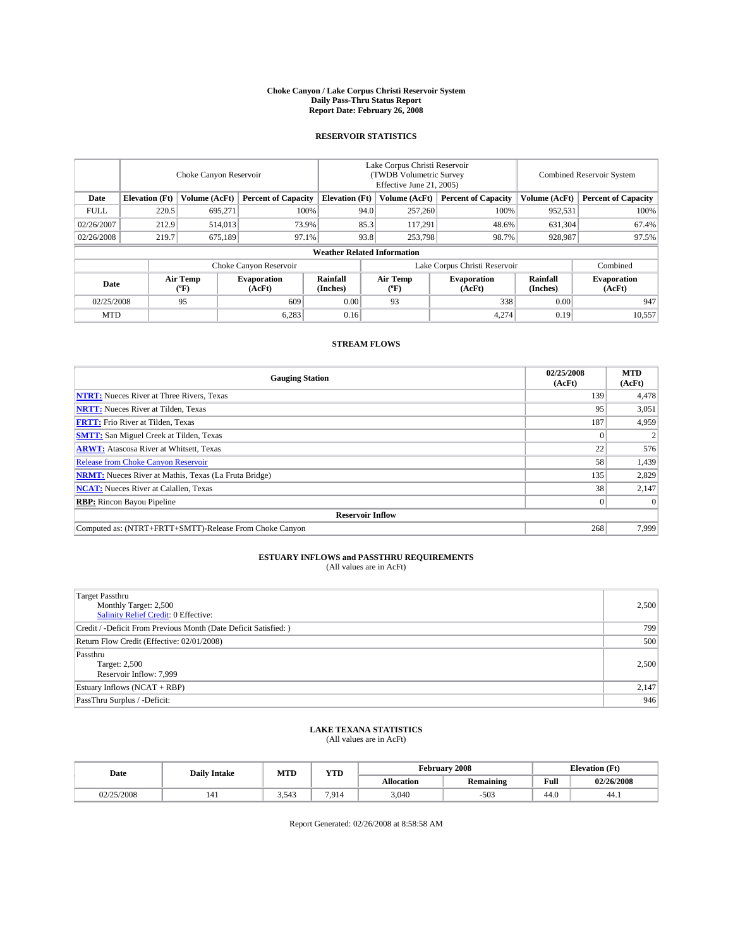#### **Choke Canyon / Lake Corpus Christi Reservoir System Daily Pass-Thru Status Report Report Date: February 26, 2008**

### **RESERVOIR STATISTICS**

|             | Choke Canyon Reservoir             |                  |                              |                       | Lake Corpus Christi Reservoir<br>(TWDB Volumetric Survey<br>Effective June 21, 2005) |                                           |                               |                      | Combined Reservoir System    |  |  |
|-------------|------------------------------------|------------------|------------------------------|-----------------------|--------------------------------------------------------------------------------------|-------------------------------------------|-------------------------------|----------------------|------------------------------|--|--|
| Date        | <b>Elevation</b> (Ft)              | Volume (AcFt)    | <b>Percent of Capacity</b>   | <b>Elevation</b> (Ft) |                                                                                      | Volume (AcFt)                             | <b>Percent of Capacity</b>    | Volume (AcFt)        | <b>Percent of Capacity</b>   |  |  |
| <b>FULL</b> | 220.5                              | 695,271          | 100%                         |                       | 94.0                                                                                 | 257,260                                   | 100%                          | 952,531              | 100%                         |  |  |
| 02/26/2007  | 212.9                              | 514,013          | 73.9%                        |                       | 85.3                                                                                 | 117,291                                   | 48.6%                         | 631,304              | 67.4%                        |  |  |
| 02/26/2008  | 219.7                              | 675,189          | 97.1%                        |                       | 93.8                                                                                 | 253,798                                   | 98.7%                         | 928,987              | 97.5%                        |  |  |
|             | <b>Weather Related Information</b> |                  |                              |                       |                                                                                      |                                           |                               |                      |                              |  |  |
|             |                                    |                  | Choke Canyon Reservoir       |                       |                                                                                      |                                           | Lake Corpus Christi Reservoir |                      | Combined                     |  |  |
| Date        |                                    | Air Temp<br>(°F) | <b>Evaporation</b><br>(AcFt) | Rainfall<br>(Inches)  |                                                                                      | Air Temp<br>$({}^{\mathrm{o}}\mathrm{F})$ | <b>Evaporation</b><br>(AcFt)  | Rainfall<br>(Inches) | <b>Evaporation</b><br>(AcFt) |  |  |
| 02/25/2008  |                                    | 95               | 609                          | 0.00                  |                                                                                      | 93                                        | 338                           | 0.00                 | 947                          |  |  |
| <b>MTD</b>  |                                    |                  | 6,283                        | 0.16                  |                                                                                      |                                           | 4,274                         | 0.19                 | 10,557                       |  |  |

### **STREAM FLOWS**

| <b>Gauging Station</b>                                       | 02/25/2008<br>(AcFt) | <b>MTD</b><br>(AcFt) |
|--------------------------------------------------------------|----------------------|----------------------|
| <b>NTRT:</b> Nueces River at Three Rivers, Texas             | 139                  | 4,478                |
| <b>NRTT:</b> Nueces River at Tilden, Texas                   | 95                   | 3,051                |
| <b>FRTT:</b> Frio River at Tilden, Texas                     | 187                  | 4,959                |
| <b>SMTT:</b> San Miguel Creek at Tilden, Texas               |                      |                      |
| <b>ARWT:</b> Atascosa River at Whitsett, Texas               | 22                   | 576                  |
| <b>Release from Choke Canyon Reservoir</b>                   | 58                   | 1,439                |
| <b>NRMT:</b> Nueces River at Mathis, Texas (La Fruta Bridge) | 135                  | 2,829                |
| <b>NCAT:</b> Nueces River at Calallen, Texas                 | 38                   | 2,147                |
| <b>RBP:</b> Rincon Bayou Pipeline                            |                      | $\Omega$             |
| <b>Reservoir Inflow</b>                                      |                      |                      |
| Computed as: (NTRT+FRTT+SMTT)-Release From Choke Canyon      | 268                  | 7.999                |

## **ESTUARY INFLOWS and PASSTHRU REQUIREMENTS**<br>(All values are in AcFt)

| <b>Target Passthru</b><br>Monthly Target: 2,500<br>Salinity Relief Credit: 0 Effective: | 2,500 |
|-----------------------------------------------------------------------------------------|-------|
| Credit / -Deficit From Previous Month (Date Deficit Satisfied: )                        | 799   |
| Return Flow Credit (Effective: 02/01/2008)                                              | 500   |
| Passthru<br>Target: 2,500<br>Reservoir Inflow: 7,999                                    | 2.500 |
| Estuary Inflows (NCAT + RBP)                                                            | 2,147 |
| PassThru Surplus / -Deficit:                                                            | 946   |

# **LAKE TEXANA STATISTICS** (All values are in AcFt)

| Date       | <b>Daily Intake</b> | <b>MTD</b> | $\mathbf{v}$<br>1 I D | February 2008     |                  | <b>Elevation</b> (Ft) |            |
|------------|---------------------|------------|-----------------------|-------------------|------------------|-----------------------|------------|
|            |                     |            |                       | <b>Allocation</b> | <b>Remaining</b> | Full                  | 02/26/2008 |
| 02/25/2008 | 141                 | 3,543      | 7.914                 | 3.040             | $-503$           | 44.0                  | 44.1       |

Report Generated: 02/26/2008 at 8:58:58 AM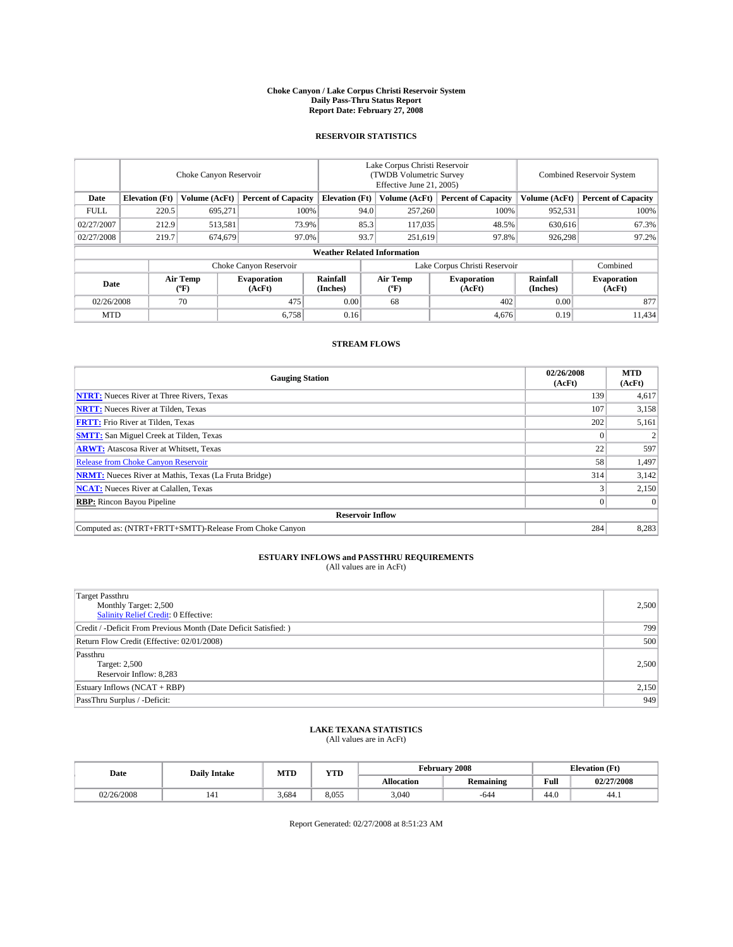#### **Choke Canyon / Lake Corpus Christi Reservoir System Daily Pass-Thru Status Report Report Date: February 27, 2008**

### **RESERVOIR STATISTICS**

|             | Choke Canyon Reservoir             |                  |                              |                       | Lake Corpus Christi Reservoir<br>(TWDB Volumetric Survey<br>Effective June 21, 2005) |                                           |                               |                      | <b>Combined Reservoir System</b> |  |  |
|-------------|------------------------------------|------------------|------------------------------|-----------------------|--------------------------------------------------------------------------------------|-------------------------------------------|-------------------------------|----------------------|----------------------------------|--|--|
| Date        | <b>Elevation</b> (Ft)              | Volume (AcFt)    | <b>Percent of Capacity</b>   | <b>Elevation</b> (Ft) |                                                                                      | Volume (AcFt)                             | <b>Percent of Capacity</b>    | Volume (AcFt)        | <b>Percent of Capacity</b>       |  |  |
| <b>FULL</b> | 220.5                              | 695,271          |                              | 100%                  | 94.0                                                                                 | 257,260                                   | 100%                          | 952,531              | 100%                             |  |  |
| 02/27/2007  | 212.9                              | 513,581          | 73.9%                        |                       | 85.3                                                                                 | 117,035                                   | 48.5%                         | 630,616              | 67.3%                            |  |  |
| 02/27/2008  | 219.7                              | 674,679          | 97.0%                        |                       | 93.7                                                                                 | 251,619                                   | 97.8%                         | 926,298              | 97.2%                            |  |  |
|             | <b>Weather Related Information</b> |                  |                              |                       |                                                                                      |                                           |                               |                      |                                  |  |  |
|             |                                    |                  | Choke Canyon Reservoir       |                       |                                                                                      |                                           | Lake Corpus Christi Reservoir |                      | Combined                         |  |  |
| Date        |                                    | Air Temp<br>(°F) | <b>Evaporation</b><br>(AcFt) | Rainfall<br>(Inches)  |                                                                                      | Air Temp<br>$({}^{\mathrm{o}}\mathrm{F})$ | <b>Evaporation</b><br>(AcFt)  | Rainfall<br>(Inches) | <b>Evaporation</b><br>(AcFt)     |  |  |
| 02/26/2008  |                                    | 70               | 475                          | 0.00                  |                                                                                      | 68                                        | 402                           | 0.00                 | 877                              |  |  |
| <b>MTD</b>  |                                    |                  | 6,758                        | 0.16                  |                                                                                      |                                           | 4,676                         | 0.19                 | 11,434                           |  |  |

### **STREAM FLOWS**

| <b>Gauging Station</b>                                       | 02/26/2008<br>(AcFt) | <b>MTD</b><br>(AcFt) |
|--------------------------------------------------------------|----------------------|----------------------|
| <b>NTRT:</b> Nueces River at Three Rivers, Texas             | 139                  | 4,617                |
| <b>NRTT:</b> Nueces River at Tilden, Texas                   | 107                  | 3,158                |
| <b>FRTT:</b> Frio River at Tilden, Texas                     | 202                  | 5,161                |
| <b>SMTT:</b> San Miguel Creek at Tilden, Texas               |                      |                      |
| <b>ARWT:</b> Atascosa River at Whitsett, Texas               | 22                   | 597                  |
| <b>Release from Choke Canyon Reservoir</b>                   | 58                   | 1,497                |
| <b>NRMT:</b> Nueces River at Mathis, Texas (La Fruta Bridge) | 314                  | 3,142                |
| <b>NCAT:</b> Nueces River at Calallen, Texas                 |                      | 2,150                |
| <b>RBP:</b> Rincon Bayou Pipeline                            |                      | $\Omega$             |
| <b>Reservoir Inflow</b>                                      |                      |                      |
| Computed as: (NTRT+FRTT+SMTT)-Release From Choke Canyon      | 284                  | 8,283                |

## **ESTUARY INFLOWS and PASSTHRU REQUIREMENTS**<br>(All values are in AcFt)

| <b>Target Passthru</b><br>Monthly Target: 2,500<br>Salinity Relief Credit: 0 Effective: | 2,500 |
|-----------------------------------------------------------------------------------------|-------|
| Credit / -Deficit From Previous Month (Date Deficit Satisfied: )                        | 799   |
| Return Flow Credit (Effective: 02/01/2008)                                              | 500   |
| Passthru<br>Target: 2,500<br>Reservoir Inflow: 8,283                                    | 2.500 |
| Estuary Inflows (NCAT + RBP)                                                            | 2,150 |
| PassThru Surplus / -Deficit:                                                            | 949   |

# **LAKE TEXANA STATISTICS** (All values are in AcFt)

| Date       | <b>Daily Intake</b> | MTD   | <b>YTD</b> |                   | February 2008    | <b>Elevation</b> (Ft) |            |
|------------|---------------------|-------|------------|-------------------|------------------|-----------------------|------------|
|            |                     |       |            | <b>Allocation</b> | <b>Remaining</b> | Full                  | 02/27/2008 |
| 02/26/2008 |                     | 3.684 | 8.055      | 3.040             | -644             | 44.0                  | 44.1       |

Report Generated: 02/27/2008 at 8:51:23 AM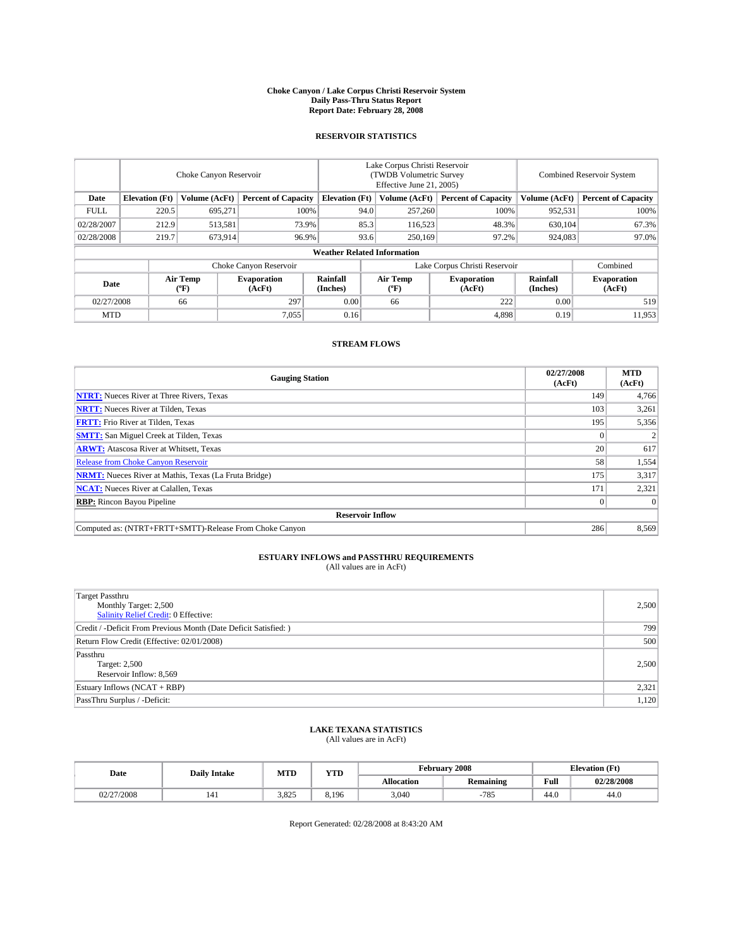#### **Choke Canyon / Lake Corpus Christi Reservoir System Daily Pass-Thru Status Report Report Date: February 28, 2008**

### **RESERVOIR STATISTICS**

|                        | Choke Canyon Reservoir             |                  |                              |                               | Lake Corpus Christi Reservoir<br>(TWDB Volumetric Survey<br>Effective June 21, 2005) |                  |                              |                      | <b>Combined Reservoir System</b> |  |  |
|------------------------|------------------------------------|------------------|------------------------------|-------------------------------|--------------------------------------------------------------------------------------|------------------|------------------------------|----------------------|----------------------------------|--|--|
| Date                   | <b>Elevation</b> (Ft)              | Volume (AcFt)    | <b>Percent of Capacity</b>   | <b>Elevation</b> (Ft)         |                                                                                      | Volume (AcFt)    | <b>Percent of Capacity</b>   | Volume (AcFt)        | <b>Percent of Capacity</b>       |  |  |
| <b>FULL</b>            | 220.5                              | 695,271          | 100%                         |                               | 94.0                                                                                 | 257,260          | 100%                         | 952,531              | 100%                             |  |  |
| 02/28/2007             | 212.9                              | 513,581          | 73.9%                        |                               | 85.3                                                                                 | 116,523          | 48.3%                        | 630.104              | 67.3%                            |  |  |
| 02/28/2008             | 219.7                              | 673,914          | 96.9%                        |                               | 93.6                                                                                 | 250,169          | 97.2%                        | 924.083              | 97.0%                            |  |  |
|                        | <b>Weather Related Information</b> |                  |                              |                               |                                                                                      |                  |                              |                      |                                  |  |  |
| Choke Canyon Reservoir |                                    |                  |                              | Lake Corpus Christi Reservoir |                                                                                      |                  |                              | Combined             |                                  |  |  |
| Date                   |                                    | Air Temp<br>(°F) | <b>Evaporation</b><br>(AcFt) | Rainfall<br>(Inches)          |                                                                                      | Air Temp<br>("F) | <b>Evaporation</b><br>(AcFt) | Rainfall<br>(Inches) | <b>Evaporation</b><br>(AcFt)     |  |  |
| 02/27/2008             |                                    | 66               | 297                          | 0.00                          |                                                                                      | 66               | 222                          | 0.00                 | 519                              |  |  |
| <b>MTD</b>             |                                    |                  | 7,055                        | 0.16                          |                                                                                      |                  | 4,898                        | 0.19                 | 11,953                           |  |  |

### **STREAM FLOWS**

| <b>Gauging Station</b>                                       | 02/27/2008<br>(AcFt) | <b>MTD</b><br>(AcFt) |  |  |  |
|--------------------------------------------------------------|----------------------|----------------------|--|--|--|
| <b>NTRT:</b> Nueces River at Three Rivers, Texas             | 149                  | 4,766                |  |  |  |
| <b>NRTT:</b> Nueces River at Tilden, Texas                   | 103                  | 3,261                |  |  |  |
| <b>FRTT:</b> Frio River at Tilden, Texas                     | 195                  | 5,356                |  |  |  |
| <b>SMTT:</b> San Miguel Creek at Tilden, Texas               |                      |                      |  |  |  |
| <b>ARWT:</b> Atascosa River at Whitsett, Texas               | 20 <sub>1</sub>      | 617                  |  |  |  |
| <b>Release from Choke Canyon Reservoir</b>                   | 58                   | 1,554                |  |  |  |
| <b>NRMT:</b> Nueces River at Mathis, Texas (La Fruta Bridge) | 175                  | 3,317                |  |  |  |
| <b>NCAT:</b> Nueces River at Calallen, Texas                 | 171                  | 2,321                |  |  |  |
| <b>RBP:</b> Rincon Bayou Pipeline                            |                      |                      |  |  |  |
| <b>Reservoir Inflow</b>                                      |                      |                      |  |  |  |
| Computed as: (NTRT+FRTT+SMTT)-Release From Choke Canyon      | 286                  | 8.569                |  |  |  |

## **ESTUARY INFLOWS and PASSTHRU REQUIREMENTS**<br>(All values are in AcFt)

| <b>Target Passthru</b><br>Monthly Target: 2,500<br>Salinity Relief Credit: 0 Effective: | 2,500 |  |
|-----------------------------------------------------------------------------------------|-------|--|
| Credit / -Deficit From Previous Month (Date Deficit Satisfied: )                        | 799   |  |
| Return Flow Credit (Effective: 02/01/2008)                                              |       |  |
| Passthru<br>Target: 2,500<br>Reservoir Inflow: 8,569                                    | 2.500 |  |
| Estuary Inflows (NCAT + RBP)                                                            | 2,321 |  |
| PassThru Surplus / -Deficit:                                                            | 1,120 |  |

## **LAKE TEXANA STATISTICS** (All values are in AcFt)

| Date     | <b>Daily Intake</b> | MTD   | <b>YTD</b> |                   | February 2008    | <b>Elevation</b> (Ft) |            |
|----------|---------------------|-------|------------|-------------------|------------------|-----------------------|------------|
|          |                     |       |            | <b>Allocation</b> | <b>Remaining</b> | Full                  | 02/28/2008 |
| /27/2008 |                     | 3.825 | 8.196      | 3.040             | $-785$           | 44.0                  | 44.0       |

Report Generated: 02/28/2008 at 8:43:20 AM